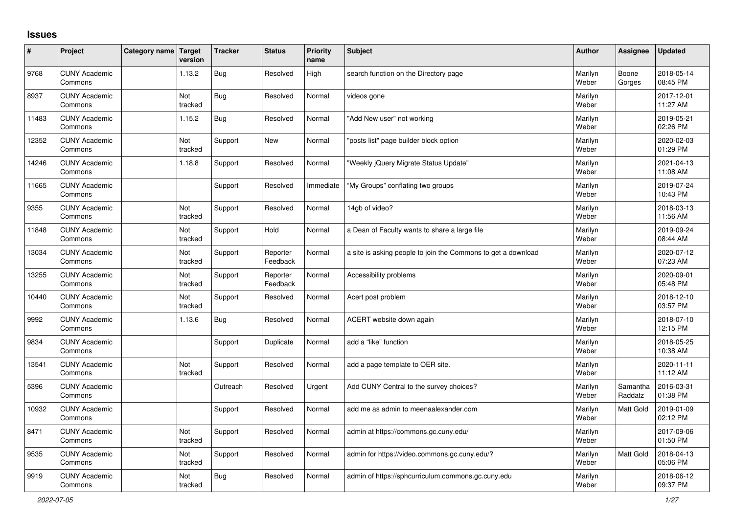## **Issues**

| #     | Project                         | Category name Target | version        | <b>Tracker</b> | <b>Status</b>        | Priority<br>name | <b>Subject</b>                                                | <b>Author</b>    | Assignee            | <b>Updated</b>         |
|-------|---------------------------------|----------------------|----------------|----------------|----------------------|------------------|---------------------------------------------------------------|------------------|---------------------|------------------------|
| 9768  | <b>CUNY Academic</b><br>Commons |                      | 1.13.2         | <b>Bug</b>     | Resolved             | High             | search function on the Directory page                         | Marilyn<br>Weber | Boone<br>Gorges     | 2018-05-14<br>08:45 PM |
| 8937  | <b>CUNY Academic</b><br>Commons |                      | Not<br>tracked | Bug            | Resolved             | Normal           | videos gone                                                   | Marilyn<br>Weber |                     | 2017-12-01<br>11:27 AM |
| 11483 | <b>CUNY Academic</b><br>Commons |                      | 1.15.2         | <b>Bug</b>     | Resolved             | Normal           | 'Add New user" not working                                    | Marilyn<br>Weber |                     | 2019-05-21<br>02:26 PM |
| 12352 | <b>CUNY Academic</b><br>Commons |                      | Not<br>tracked | Support        | New                  | Normal           | 'posts list" page builder block option                        | Marilyn<br>Weber |                     | 2020-02-03<br>01:29 PM |
| 14246 | <b>CUNY Academic</b><br>Commons |                      | 1.18.8         | Support        | Resolved             | Normal           | "Weekly jQuery Migrate Status Update"                         | Marilyn<br>Weber |                     | 2021-04-13<br>11:08 AM |
| 11665 | <b>CUNY Academic</b><br>Commons |                      |                | Support        | Resolved             | Immediate        | "My Groups" conflating two groups                             | Marilyn<br>Weber |                     | 2019-07-24<br>10:43 PM |
| 9355  | <b>CUNY Academic</b><br>Commons |                      | Not<br>tracked | Support        | Resolved             | Normal           | 14gb of video?                                                | Marilyn<br>Weber |                     | 2018-03-13<br>11:56 AM |
| 11848 | <b>CUNY Academic</b><br>Commons |                      | Not<br>tracked | Support        | Hold                 | Normal           | a Dean of Faculty wants to share a large file                 | Marilyn<br>Weber |                     | 2019-09-24<br>08:44 AM |
| 13034 | <b>CUNY Academic</b><br>Commons |                      | Not<br>tracked | Support        | Reporter<br>Feedback | Normal           | a site is asking people to join the Commons to get a download | Marilyn<br>Weber |                     | 2020-07-12<br>07:23 AM |
| 13255 | <b>CUNY Academic</b><br>Commons |                      | Not<br>tracked | Support        | Reporter<br>Feedback | Normal           | Accessibility problems                                        | Marilyn<br>Weber |                     | 2020-09-01<br>05:48 PM |
| 10440 | <b>CUNY Academic</b><br>Commons |                      | Not<br>tracked | Support        | Resolved             | Normal           | Acert post problem                                            | Marilyn<br>Weber |                     | 2018-12-10<br>03:57 PM |
| 9992  | <b>CUNY Academic</b><br>Commons |                      | 1.13.6         | <b>Bug</b>     | Resolved             | Normal           | ACERT website down again                                      | Marilyn<br>Weber |                     | 2018-07-10<br>12:15 PM |
| 9834  | <b>CUNY Academic</b><br>Commons |                      |                | Support        | Duplicate            | Normal           | add a "like" function                                         | Marilyn<br>Weber |                     | 2018-05-25<br>10:38 AM |
| 13541 | <b>CUNY Academic</b><br>Commons |                      | Not<br>tracked | Support        | Resolved             | Normal           | add a page template to OER site.                              | Marilyn<br>Weber |                     | 2020-11-11<br>11:12 AM |
| 5396  | <b>CUNY Academic</b><br>Commons |                      |                | Outreach       | Resolved             | Urgent           | Add CUNY Central to the survey choices?                       | Marilyn<br>Weber | Samantha<br>Raddatz | 2016-03-31<br>01:38 PM |
| 10932 | <b>CUNY Academic</b><br>Commons |                      |                | Support        | Resolved             | Normal           | add me as admin to meenaalexander.com                         | Marilyn<br>Weber | Matt Gold           | 2019-01-09<br>02:12 PM |
| 8471  | <b>CUNY Academic</b><br>Commons |                      | Not<br>tracked | Support        | Resolved             | Normal           | admin at https://commons.gc.cuny.edu/                         | Marilyn<br>Weber |                     | 2017-09-06<br>01:50 PM |
| 9535  | <b>CUNY Academic</b><br>Commons |                      | Not<br>tracked | Support        | Resolved             | Normal           | admin for https://video.commons.gc.cuny.edu/?                 | Marilyn<br>Weber | Matt Gold           | 2018-04-13<br>05:06 PM |
| 9919  | <b>CUNY Academic</b><br>Commons |                      | Not<br>tracked | Bug            | Resolved             | Normal           | admin of https://sphcurriculum.commons.gc.cuny.edu            | Marilyn<br>Weber |                     | 2018-06-12<br>09:37 PM |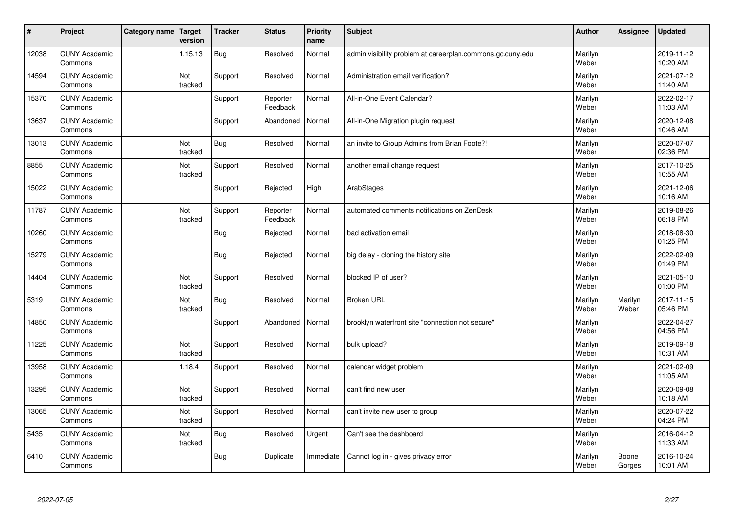| $\vert$ # | Project                         | Category name   Target | version        | <b>Tracker</b> | <b>Status</b>        | <b>Priority</b><br>name | <b>Subject</b>                                             | <b>Author</b>    | <b>Assignee</b>  | <b>Updated</b>         |
|-----------|---------------------------------|------------------------|----------------|----------------|----------------------|-------------------------|------------------------------------------------------------|------------------|------------------|------------------------|
| 12038     | <b>CUNY Academic</b><br>Commons |                        | 1.15.13        | <b>Bug</b>     | Resolved             | Normal                  | admin visibility problem at careerplan.commons.gc.cuny.edu | Marilyn<br>Weber |                  | 2019-11-12<br>10:20 AM |
| 14594     | <b>CUNY Academic</b><br>Commons |                        | Not<br>tracked | Support        | Resolved             | Normal                  | Administration email verification?                         | Marilyn<br>Weber |                  | 2021-07-12<br>11:40 AM |
| 15370     | <b>CUNY Academic</b><br>Commons |                        |                | Support        | Reporter<br>Feedback | Normal                  | All-in-One Event Calendar?                                 | Marilyn<br>Weber |                  | 2022-02-17<br>11:03 AM |
| 13637     | <b>CUNY Academic</b><br>Commons |                        |                | Support        | Abandoned            | Normal                  | All-in-One Migration plugin request                        | Marilyn<br>Weber |                  | 2020-12-08<br>10:46 AM |
| 13013     | <b>CUNY Academic</b><br>Commons |                        | Not<br>tracked | <b>Bug</b>     | Resolved             | Normal                  | an invite to Group Admins from Brian Foote?!               | Marilyn<br>Weber |                  | 2020-07-07<br>02:36 PM |
| 8855      | <b>CUNY Academic</b><br>Commons |                        | Not<br>tracked | Support        | Resolved             | Normal                  | another email change request                               | Marilyn<br>Weber |                  | 2017-10-25<br>10:55 AM |
| 15022     | <b>CUNY Academic</b><br>Commons |                        |                | Support        | Rejected             | High                    | ArabStages                                                 | Marilyn<br>Weber |                  | 2021-12-06<br>10:16 AM |
| 11787     | <b>CUNY Academic</b><br>Commons |                        | Not<br>tracked | Support        | Reporter<br>Feedback | Normal                  | automated comments notifications on ZenDesk                | Marilyn<br>Weber |                  | 2019-08-26<br>06:18 PM |
| 10260     | <b>CUNY Academic</b><br>Commons |                        |                | <b>Bug</b>     | Rejected             | Normal                  | bad activation email                                       | Marilyn<br>Weber |                  | 2018-08-30<br>01:25 PM |
| 15279     | <b>CUNY Academic</b><br>Commons |                        |                | <b>Bug</b>     | Rejected             | Normal                  | big delay - cloning the history site                       | Marilyn<br>Weber |                  | 2022-02-09<br>01:49 PM |
| 14404     | <b>CUNY Academic</b><br>Commons |                        | Not<br>tracked | Support        | Resolved             | Normal                  | blocked IP of user?                                        | Marilyn<br>Weber |                  | 2021-05-10<br>01:00 PM |
| 5319      | <b>CUNY Academic</b><br>Commons |                        | Not<br>tracked | <b>Bug</b>     | Resolved             | Normal                  | <b>Broken URL</b>                                          | Marilyn<br>Weber | Marilyn<br>Weber | 2017-11-15<br>05:46 PM |
| 14850     | <b>CUNY Academic</b><br>Commons |                        |                | Support        | Abandoned            | Normal                  | brooklyn waterfront site "connection not secure"           | Marilyn<br>Weber |                  | 2022-04-27<br>04:56 PM |
| 11225     | <b>CUNY Academic</b><br>Commons |                        | Not<br>tracked | Support        | Resolved             | Normal                  | bulk upload?                                               | Marilyn<br>Weber |                  | 2019-09-18<br>10:31 AM |
| 13958     | <b>CUNY Academic</b><br>Commons |                        | 1.18.4         | Support        | Resolved             | Normal                  | calendar widget problem                                    | Marilyn<br>Weber |                  | 2021-02-09<br>11:05 AM |
| 13295     | <b>CUNY Academic</b><br>Commons |                        | Not<br>tracked | Support        | Resolved             | Normal                  | can't find new user                                        | Marilyn<br>Weber |                  | 2020-09-08<br>10:18 AM |
| 13065     | <b>CUNY Academic</b><br>Commons |                        | Not<br>tracked | Support        | Resolved             | Normal                  | can't invite new user to group                             | Marilyn<br>Weber |                  | 2020-07-22<br>04:24 PM |
| 5435      | <b>CUNY Academic</b><br>Commons |                        | Not<br>tracked | <b>Bug</b>     | Resolved             | Urgent                  | Can't see the dashboard                                    | Marilyn<br>Weber |                  | 2016-04-12<br>11:33 AM |
| 6410      | <b>CUNY Academic</b><br>Commons |                        |                | Bug            | Duplicate            | Immediate               | Cannot log in - gives privacy error                        | Marilyn<br>Weber | Boone<br>Gorges  | 2016-10-24<br>10:01 AM |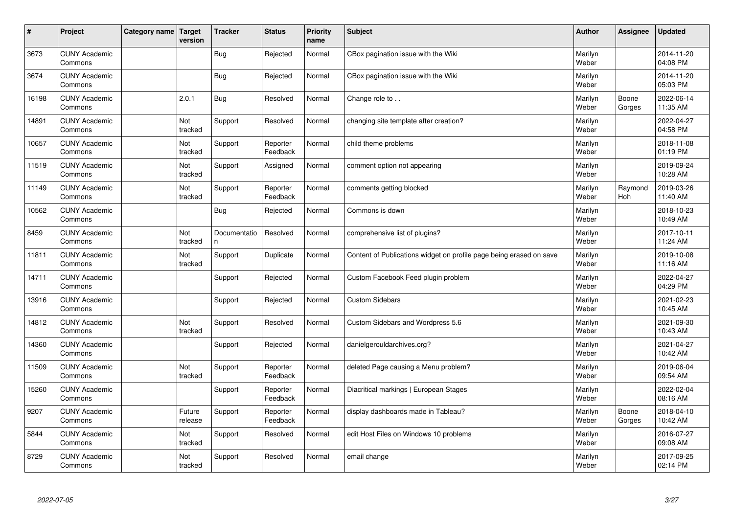| #     | Project                         | Category name   Target | version               | <b>Tracker</b>    | <b>Status</b>        | <b>Priority</b><br>name | <b>Subject</b>                                                      | <b>Author</b>    | Assignee        | <b>Updated</b>         |
|-------|---------------------------------|------------------------|-----------------------|-------------------|----------------------|-------------------------|---------------------------------------------------------------------|------------------|-----------------|------------------------|
| 3673  | <b>CUNY Academic</b><br>Commons |                        |                       | <b>Bug</b>        | Rejected             | Normal                  | CBox pagination issue with the Wiki                                 | Marilyn<br>Weber |                 | 2014-11-20<br>04:08 PM |
| 3674  | <b>CUNY Academic</b><br>Commons |                        |                       | <b>Bug</b>        | Rejected             | Normal                  | CBox pagination issue with the Wiki                                 | Marilyn<br>Weber |                 | 2014-11-20<br>05:03 PM |
| 16198 | <b>CUNY Academic</b><br>Commons |                        | 2.0.1                 | Bug               | Resolved             | Normal                  | Change role to                                                      | Marilyn<br>Weber | Boone<br>Gorges | 2022-06-14<br>11:35 AM |
| 14891 | <b>CUNY Academic</b><br>Commons |                        | <b>Not</b><br>tracked | Support           | Resolved             | Normal                  | changing site template after creation?                              | Marilyn<br>Weber |                 | 2022-04-27<br>04:58 PM |
| 10657 | <b>CUNY Academic</b><br>Commons |                        | Not<br>tracked        | Support           | Reporter<br>Feedback | Normal                  | child theme problems                                                | Marilyn<br>Weber |                 | 2018-11-08<br>01:19 PM |
| 11519 | <b>CUNY Academic</b><br>Commons |                        | <b>Not</b><br>tracked | Support           | Assigned             | Normal                  | comment option not appearing                                        | Marilyn<br>Weber |                 | 2019-09-24<br>10:28 AM |
| 11149 | <b>CUNY Academic</b><br>Commons |                        | Not<br>tracked        | Support           | Reporter<br>Feedback | Normal                  | comments getting blocked                                            | Marilyn<br>Weber | Raymond<br>Hoh  | 2019-03-26<br>11:40 AM |
| 10562 | <b>CUNY Academic</b><br>Commons |                        |                       | Bug               | Rejected             | Normal                  | Commons is down                                                     | Marilyn<br>Weber |                 | 2018-10-23<br>10:49 AM |
| 8459  | <b>CUNY Academic</b><br>Commons |                        | Not<br>tracked        | Documentatio<br>n | Resolved             | Normal                  | comprehensive list of plugins?                                      | Marilyn<br>Weber |                 | 2017-10-11<br>11:24 AM |
| 11811 | <b>CUNY Academic</b><br>Commons |                        | Not<br>tracked        | Support           | Duplicate            | Normal                  | Content of Publications widget on profile page being erased on save | Marilyn<br>Weber |                 | 2019-10-08<br>11:16 AM |
| 14711 | <b>CUNY Academic</b><br>Commons |                        |                       | Support           | Rejected             | Normal                  | Custom Facebook Feed plugin problem                                 | Marilyn<br>Weber |                 | 2022-04-27<br>04:29 PM |
| 13916 | <b>CUNY Academic</b><br>Commons |                        |                       | Support           | Rejected             | Normal                  | <b>Custom Sidebars</b>                                              | Marilyn<br>Weber |                 | 2021-02-23<br>10:45 AM |
| 14812 | <b>CUNY Academic</b><br>Commons |                        | Not<br>tracked        | Support           | Resolved             | Normal                  | Custom Sidebars and Wordpress 5.6                                   | Marilyn<br>Weber |                 | 2021-09-30<br>10:43 AM |
| 14360 | <b>CUNY Academic</b><br>Commons |                        |                       | Support           | Rejected             | Normal                  | danielgerouldarchives.org?                                          | Marilyn<br>Weber |                 | 2021-04-27<br>10:42 AM |
| 11509 | <b>CUNY Academic</b><br>Commons |                        | Not<br>tracked        | Support           | Reporter<br>Feedback | Normal                  | deleted Page causing a Menu problem?                                | Marilyn<br>Weber |                 | 2019-06-04<br>09:54 AM |
| 15260 | <b>CUNY Academic</b><br>Commons |                        |                       | Support           | Reporter<br>Feedback | Normal                  | Diacritical markings   European Stages                              | Marilyn<br>Weber |                 | 2022-02-04<br>08:16 AM |
| 9207  | <b>CUNY Academic</b><br>Commons |                        | Future<br>release     | Support           | Reporter<br>Feedback | Normal                  | display dashboards made in Tableau?                                 | Marilyn<br>Weber | Boone<br>Gorges | 2018-04-10<br>10:42 AM |
| 5844  | <b>CUNY Academic</b><br>Commons |                        | Not<br>tracked        | Support           | Resolved             | Normal                  | edit Host Files on Windows 10 problems                              | Marilyn<br>Weber |                 | 2016-07-27<br>09:08 AM |
| 8729  | <b>CUNY Academic</b><br>Commons |                        | Not<br>tracked        | Support           | Resolved             | Normal                  | email change                                                        | Marilyn<br>Weber |                 | 2017-09-25<br>02:14 PM |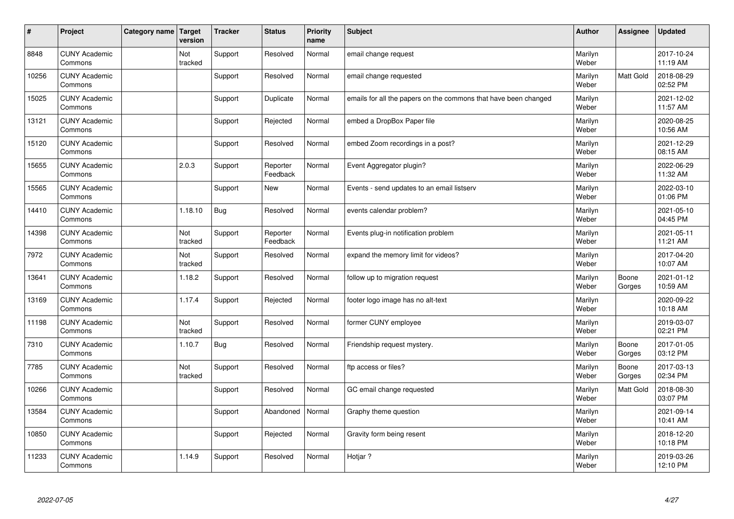| #     | Project                         | Category name   Target | version        | <b>Tracker</b> | <b>Status</b>        | <b>Priority</b><br>name | <b>Subject</b>                                                  | <b>Author</b>    | Assignee        | <b>Updated</b>         |
|-------|---------------------------------|------------------------|----------------|----------------|----------------------|-------------------------|-----------------------------------------------------------------|------------------|-----------------|------------------------|
| 8848  | <b>CUNY Academic</b><br>Commons |                        | Not<br>tracked | Support        | Resolved             | Normal                  | email change request                                            | Marilyn<br>Weber |                 | 2017-10-24<br>11:19 AM |
| 10256 | <b>CUNY Academic</b><br>Commons |                        |                | Support        | Resolved             | Normal                  | email change requested                                          | Marilyn<br>Weber | Matt Gold       | 2018-08-29<br>02:52 PM |
| 15025 | <b>CUNY Academic</b><br>Commons |                        |                | Support        | Duplicate            | Normal                  | emails for all the papers on the commons that have been changed | Marilyn<br>Weber |                 | 2021-12-02<br>11:57 AM |
| 13121 | <b>CUNY Academic</b><br>Commons |                        |                | Support        | Rejected             | Normal                  | embed a DropBox Paper file                                      | Marilyn<br>Weber |                 | 2020-08-25<br>10:56 AM |
| 15120 | <b>CUNY Academic</b><br>Commons |                        |                | Support        | Resolved             | Normal                  | embed Zoom recordings in a post?                                | Marilyn<br>Weber |                 | 2021-12-29<br>08:15 AM |
| 15655 | <b>CUNY Academic</b><br>Commons |                        | 2.0.3          | Support        | Reporter<br>Feedback | Normal                  | Event Aggregator plugin?                                        | Marilyn<br>Weber |                 | 2022-06-29<br>11:32 AM |
| 15565 | <b>CUNY Academic</b><br>Commons |                        |                | Support        | <b>New</b>           | Normal                  | Events - send updates to an email listserv                      | Marilyn<br>Weber |                 | 2022-03-10<br>01:06 PM |
| 14410 | <b>CUNY Academic</b><br>Commons |                        | 1.18.10        | <b>Bug</b>     | Resolved             | Normal                  | events calendar problem?                                        | Marilyn<br>Weber |                 | 2021-05-10<br>04:45 PM |
| 14398 | <b>CUNY Academic</b><br>Commons |                        | Not<br>tracked | Support        | Reporter<br>Feedback | Normal                  | Events plug-in notification problem                             | Marilyn<br>Weber |                 | 2021-05-11<br>11:21 AM |
| 7972  | <b>CUNY Academic</b><br>Commons |                        | Not<br>tracked | Support        | Resolved             | Normal                  | expand the memory limit for videos?                             | Marilyn<br>Weber |                 | 2017-04-20<br>10:07 AM |
| 13641 | <b>CUNY Academic</b><br>Commons |                        | 1.18.2         | Support        | Resolved             | Normal                  | follow up to migration request                                  | Marilyn<br>Weber | Boone<br>Gorges | 2021-01-12<br>10:59 AM |
| 13169 | <b>CUNY Academic</b><br>Commons |                        | 1.17.4         | Support        | Rejected             | Normal                  | footer logo image has no alt-text                               | Marilyn<br>Weber |                 | 2020-09-22<br>10:18 AM |
| 11198 | <b>CUNY Academic</b><br>Commons |                        | Not<br>tracked | Support        | Resolved             | Normal                  | former CUNY employee                                            | Marilyn<br>Weber |                 | 2019-03-07<br>02:21 PM |
| 7310  | <b>CUNY Academic</b><br>Commons |                        | 1.10.7         | Bug            | Resolved             | Normal                  | Friendship request mystery.                                     | Marilyn<br>Weber | Boone<br>Gorges | 2017-01-05<br>03:12 PM |
| 7785  | <b>CUNY Academic</b><br>Commons |                        | Not<br>tracked | Support        | Resolved             | Normal                  | ftp access or files?                                            | Marilyn<br>Weber | Boone<br>Gorges | 2017-03-13<br>02:34 PM |
| 10266 | <b>CUNY Academic</b><br>Commons |                        |                | Support        | Resolved             | Normal                  | GC email change requested                                       | Marilyn<br>Weber | Matt Gold       | 2018-08-30<br>03:07 PM |
| 13584 | <b>CUNY Academic</b><br>Commons |                        |                | Support        | Abandoned            | Normal                  | Graphy theme question                                           | Marilyn<br>Weber |                 | 2021-09-14<br>10:41 AM |
| 10850 | <b>CUNY Academic</b><br>Commons |                        |                | Support        | Rejected             | Normal                  | Gravity form being resent                                       | Marilyn<br>Weber |                 | 2018-12-20<br>10:18 PM |
| 11233 | <b>CUNY Academic</b><br>Commons |                        | 1.14.9         | Support        | Resolved             | Normal                  | Hotjar?                                                         | Marilyn<br>Weber |                 | 2019-03-26<br>12:10 PM |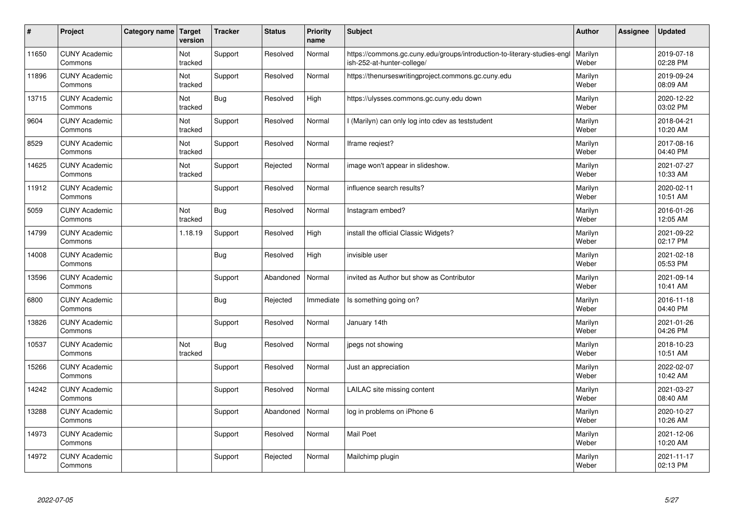| $\sharp$ | Project                         | Category name | Target<br>version | <b>Tracker</b> | <b>Status</b> | <b>Priority</b><br>name | <b>Subject</b>                                                                                         | <b>Author</b>    | Assignee | <b>Updated</b>         |
|----------|---------------------------------|---------------|-------------------|----------------|---------------|-------------------------|--------------------------------------------------------------------------------------------------------|------------------|----------|------------------------|
| 11650    | <b>CUNY Academic</b><br>Commons |               | Not<br>tracked    | Support        | Resolved      | Normal                  | https://commons.gc.cuny.edu/groups/introduction-to-literary-studies-engl<br>ish-252-at-hunter-college/ | Marilyn<br>Weber |          | 2019-07-18<br>02:28 PM |
| 11896    | <b>CUNY Academic</b><br>Commons |               | Not<br>tracked    | Support        | Resolved      | Normal                  | https://thenurseswritingproject.commons.gc.cuny.edu                                                    | Marilyn<br>Weber |          | 2019-09-24<br>08:09 AM |
| 13715    | <b>CUNY Academic</b><br>Commons |               | Not<br>tracked    | <b>Bug</b>     | Resolved      | High                    | https://ulysses.commons.gc.cuny.edu down                                                               | Marilyn<br>Weber |          | 2020-12-22<br>03:02 PM |
| 9604     | <b>CUNY Academic</b><br>Commons |               | Not<br>tracked    | Support        | Resolved      | Normal                  | (Marilyn) can only log into cdev as teststudent                                                        | Marilyn<br>Weber |          | 2018-04-21<br>10:20 AM |
| 8529     | <b>CUNY Academic</b><br>Commons |               | Not<br>tracked    | Support        | Resolved      | Normal                  | Iframe reqiest?                                                                                        | Marilyn<br>Weber |          | 2017-08-16<br>04:40 PM |
| 14625    | <b>CUNY Academic</b><br>Commons |               | Not<br>tracked    | Support        | Rejected      | Normal                  | image won't appear in slideshow.                                                                       | Marilyn<br>Weber |          | 2021-07-27<br>10:33 AM |
| 11912    | <b>CUNY Academic</b><br>Commons |               |                   | Support        | Resolved      | Normal                  | influence search results?                                                                              | Marilyn<br>Weber |          | 2020-02-11<br>10:51 AM |
| 5059     | <b>CUNY Academic</b><br>Commons |               | Not<br>tracked    | <b>Bug</b>     | Resolved      | Normal                  | Instagram embed?                                                                                       | Marilyn<br>Weber |          | 2016-01-26<br>12:05 AM |
| 14799    | <b>CUNY Academic</b><br>Commons |               | 1.18.19           | Support        | Resolved      | High                    | install the official Classic Widgets?                                                                  | Marilyn<br>Weber |          | 2021-09-22<br>02:17 PM |
| 14008    | <b>CUNY Academic</b><br>Commons |               |                   | <b>Bug</b>     | Resolved      | High                    | invisible user                                                                                         | Marilyn<br>Weber |          | 2021-02-18<br>05:53 PM |
| 13596    | <b>CUNY Academic</b><br>Commons |               |                   | Support        | Abandoned     | Normal                  | invited as Author but show as Contributor                                                              | Marilyn<br>Weber |          | 2021-09-14<br>10:41 AM |
| 6800     | <b>CUNY Academic</b><br>Commons |               |                   | Bug            | Rejected      | Immediate               | Is something going on?                                                                                 | Marilyn<br>Weber |          | 2016-11-18<br>04:40 PM |
| 13826    | <b>CUNY Academic</b><br>Commons |               |                   | Support        | Resolved      | Normal                  | January 14th                                                                                           | Marilyn<br>Weber |          | 2021-01-26<br>04:26 PM |
| 10537    | <b>CUNY Academic</b><br>Commons |               | Not<br>tracked    | <b>Bug</b>     | Resolved      | Normal                  | jpegs not showing                                                                                      | Marilyn<br>Weber |          | 2018-10-23<br>10:51 AM |
| 15266    | <b>CUNY Academic</b><br>Commons |               |                   | Support        | Resolved      | Normal                  | Just an appreciation                                                                                   | Marilyn<br>Weber |          | 2022-02-07<br>10:42 AM |
| 14242    | <b>CUNY Academic</b><br>Commons |               |                   | Support        | Resolved      | Normal                  | LAILAC site missing content                                                                            | Marilyn<br>Weber |          | 2021-03-27<br>08:40 AM |
| 13288    | <b>CUNY Academic</b><br>Commons |               |                   | Support        | Abandoned     | Normal                  | log in problems on iPhone 6                                                                            | Marilyn<br>Weber |          | 2020-10-27<br>10:26 AM |
| 14973    | <b>CUNY Academic</b><br>Commons |               |                   | Support        | Resolved      | Normal                  | Mail Poet                                                                                              | Marilyn<br>Weber |          | 2021-12-06<br>10:20 AM |
| 14972    | <b>CUNY Academic</b><br>Commons |               |                   | Support        | Rejected      | Normal                  | Mailchimp plugin                                                                                       | Marilyn<br>Weber |          | 2021-11-17<br>02:13 PM |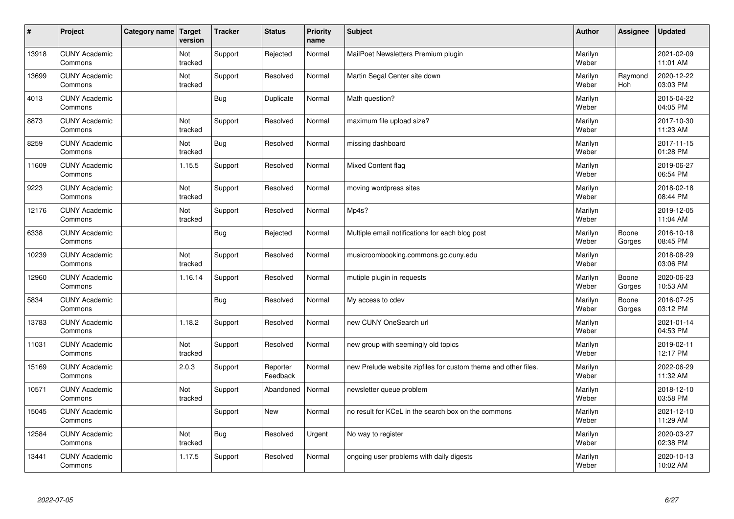| $\sharp$ | Project                         | Category name   Target | version        | <b>Tracker</b> | <b>Status</b>        | <b>Priority</b><br>name | <b>Subject</b>                                                 | <b>Author</b>    | <b>Assignee</b> | <b>Updated</b>         |
|----------|---------------------------------|------------------------|----------------|----------------|----------------------|-------------------------|----------------------------------------------------------------|------------------|-----------------|------------------------|
| 13918    | <b>CUNY Academic</b><br>Commons |                        | Not<br>tracked | Support        | Rejected             | Normal                  | MailPoet Newsletters Premium plugin                            | Marilyn<br>Weber |                 | 2021-02-09<br>11:01 AM |
| 13699    | <b>CUNY Academic</b><br>Commons |                        | Not<br>tracked | Support        | Resolved             | Normal                  | Martin Segal Center site down                                  | Marilyn<br>Weber | Raymond<br>Hoh  | 2020-12-22<br>03:03 PM |
| 4013     | <b>CUNY Academic</b><br>Commons |                        |                | Bug            | Duplicate            | Normal                  | Math question?                                                 | Marilyn<br>Weber |                 | 2015-04-22<br>04:05 PM |
| 8873     | <b>CUNY Academic</b><br>Commons |                        | Not<br>tracked | Support        | Resolved             | Normal                  | maximum file upload size?                                      | Marilyn<br>Weber |                 | 2017-10-30<br>11:23 AM |
| 8259     | <b>CUNY Academic</b><br>Commons |                        | Not<br>tracked | Bug            | Resolved             | Normal                  | missing dashboard                                              | Marilyn<br>Weber |                 | 2017-11-15<br>01:28 PM |
| 11609    | <b>CUNY Academic</b><br>Commons |                        | 1.15.5         | Support        | Resolved             | Normal                  | Mixed Content flag                                             | Marilyn<br>Weber |                 | 2019-06-27<br>06:54 PM |
| 9223     | <b>CUNY Academic</b><br>Commons |                        | Not<br>tracked | Support        | Resolved             | Normal                  | moving wordpress sites                                         | Marilyn<br>Weber |                 | 2018-02-18<br>08:44 PM |
| 12176    | <b>CUNY Academic</b><br>Commons |                        | Not<br>tracked | Support        | Resolved             | Normal                  | Mp4s?                                                          | Marilyn<br>Weber |                 | 2019-12-05<br>11:04 AM |
| 6338     | <b>CUNY Academic</b><br>Commons |                        |                | Bug            | Rejected             | Normal                  | Multiple email notifications for each blog post                | Marilyn<br>Weber | Boone<br>Gorges | 2016-10-18<br>08:45 PM |
| 10239    | <b>CUNY Academic</b><br>Commons |                        | Not<br>tracked | Support        | Resolved             | Normal                  | musicroombooking.commons.gc.cuny.edu                           | Marilyn<br>Weber |                 | 2018-08-29<br>03:06 PM |
| 12960    | <b>CUNY Academic</b><br>Commons |                        | 1.16.14        | Support        | Resolved             | Normal                  | mutiple plugin in requests                                     | Marilyn<br>Weber | Boone<br>Gorges | 2020-06-23<br>10:53 AM |
| 5834     | <b>CUNY Academic</b><br>Commons |                        |                | <b>Bug</b>     | Resolved             | Normal                  | My access to cdev                                              | Marilyn<br>Weber | Boone<br>Gorges | 2016-07-25<br>03:12 PM |
| 13783    | <b>CUNY Academic</b><br>Commons |                        | 1.18.2         | Support        | Resolved             | Normal                  | new CUNY OneSearch url                                         | Marilyn<br>Weber |                 | 2021-01-14<br>04:53 PM |
| 11031    | <b>CUNY Academic</b><br>Commons |                        | Not<br>tracked | Support        | Resolved             | Normal                  | new group with seemingly old topics                            | Marilyn<br>Weber |                 | 2019-02-11<br>12:17 PM |
| 15169    | <b>CUNY Academic</b><br>Commons |                        | 2.0.3          | Support        | Reporter<br>Feedback | Normal                  | new Prelude website zipfiles for custom theme and other files. | Marilyn<br>Weber |                 | 2022-06-29<br>11:32 AM |
| 10571    | <b>CUNY Academic</b><br>Commons |                        | Not<br>tracked | Support        | Abandoned            | Normal                  | newsletter queue problem                                       | Marilyn<br>Weber |                 | 2018-12-10<br>03:58 PM |
| 15045    | <b>CUNY Academic</b><br>Commons |                        |                | Support        | New                  | Normal                  | no result for KCeL in the search box on the commons            | Marilyn<br>Weber |                 | 2021-12-10<br>11:29 AM |
| 12584    | <b>CUNY Academic</b><br>Commons |                        | Not<br>tracked | Bug            | Resolved             | Urgent                  | No way to register                                             | Marilyn<br>Weber |                 | 2020-03-27<br>02:38 PM |
| 13441    | <b>CUNY Academic</b><br>Commons |                        | 1.17.5         | Support        | Resolved             | Normal                  | ongoing user problems with daily digests                       | Marilyn<br>Weber |                 | 2020-10-13<br>10:02 AM |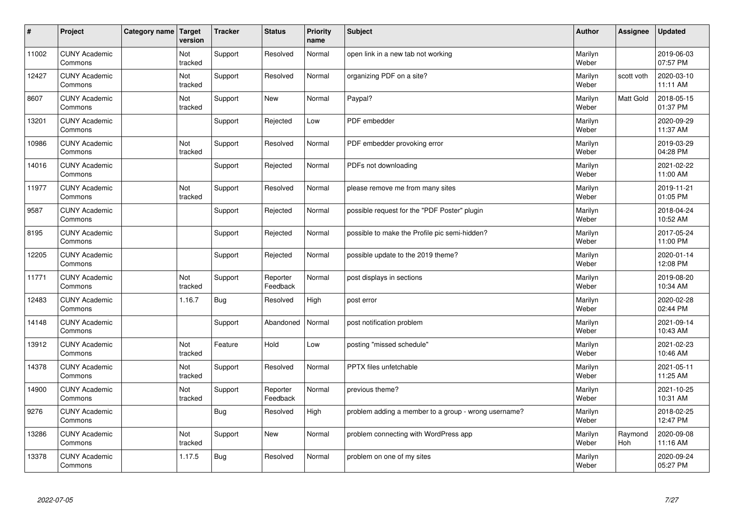| $\vert$ # | Project                         | Category name   Target | version        | <b>Tracker</b> | <b>Status</b>        | <b>Priority</b><br>name | <b>Subject</b>                                       | <b>Author</b>    | <b>Assignee</b> | <b>Updated</b>         |
|-----------|---------------------------------|------------------------|----------------|----------------|----------------------|-------------------------|------------------------------------------------------|------------------|-----------------|------------------------|
| 11002     | <b>CUNY Academic</b><br>Commons |                        | Not<br>tracked | Support        | Resolved             | Normal                  | open link in a new tab not working                   | Marilyn<br>Weber |                 | 2019-06-03<br>07:57 PM |
| 12427     | <b>CUNY Academic</b><br>Commons |                        | Not<br>tracked | Support        | Resolved             | Normal                  | organizing PDF on a site?                            | Marilyn<br>Weber | scott voth      | 2020-03-10<br>11:11 AM |
| 8607      | <b>CUNY Academic</b><br>Commons |                        | Not<br>tracked | Support        | <b>New</b>           | Normal                  | Paypal?                                              | Marilyn<br>Weber | Matt Gold       | 2018-05-15<br>01:37 PM |
| 13201     | <b>CUNY Academic</b><br>Commons |                        |                | Support        | Rejected             | Low                     | PDF embedder                                         | Marilyn<br>Weber |                 | 2020-09-29<br>11:37 AM |
| 10986     | <b>CUNY Academic</b><br>Commons |                        | Not<br>tracked | Support        | Resolved             | Normal                  | PDF embedder provoking error                         | Marilyn<br>Weber |                 | 2019-03-29<br>04:28 PM |
| 14016     | <b>CUNY Academic</b><br>Commons |                        |                | Support        | Rejected             | Normal                  | PDFs not downloading                                 | Marilyn<br>Weber |                 | 2021-02-22<br>11:00 AM |
| 11977     | <b>CUNY Academic</b><br>Commons |                        | Not<br>tracked | Support        | Resolved             | Normal                  | please remove me from many sites                     | Marilyn<br>Weber |                 | 2019-11-21<br>01:05 PM |
| 9587      | <b>CUNY Academic</b><br>Commons |                        |                | Support        | Rejected             | Normal                  | possible request for the "PDF Poster" plugin         | Marilyn<br>Weber |                 | 2018-04-24<br>10:52 AM |
| 8195      | <b>CUNY Academic</b><br>Commons |                        |                | Support        | Rejected             | Normal                  | possible to make the Profile pic semi-hidden?        | Marilyn<br>Weber |                 | 2017-05-24<br>11:00 PM |
| 12205     | <b>CUNY Academic</b><br>Commons |                        |                | Support        | Rejected             | Normal                  | possible update to the 2019 theme?                   | Marilyn<br>Weber |                 | 2020-01-14<br>12:08 PM |
| 11771     | <b>CUNY Academic</b><br>Commons |                        | Not<br>tracked | Support        | Reporter<br>Feedback | Normal                  | post displays in sections                            | Marilyn<br>Weber |                 | 2019-08-20<br>10:34 AM |
| 12483     | <b>CUNY Academic</b><br>Commons |                        | 1.16.7         | <b>Bug</b>     | Resolved             | High                    | post error                                           | Marilyn<br>Weber |                 | 2020-02-28<br>02:44 PM |
| 14148     | <b>CUNY Academic</b><br>Commons |                        |                | Support        | Abandoned            | Normal                  | post notification problem                            | Marilyn<br>Weber |                 | 2021-09-14<br>10:43 AM |
| 13912     | <b>CUNY Academic</b><br>Commons |                        | Not<br>tracked | Feature        | Hold                 | Low                     | posting "missed schedule"                            | Marilyn<br>Weber |                 | 2021-02-23<br>10:46 AM |
| 14378     | <b>CUNY Academic</b><br>Commons |                        | Not<br>tracked | Support        | Resolved             | Normal                  | PPTX files unfetchable                               | Marilyn<br>Weber |                 | 2021-05-11<br>11:25 AM |
| 14900     | <b>CUNY Academic</b><br>Commons |                        | Not<br>tracked | Support        | Reporter<br>Feedback | Normal                  | previous theme?                                      | Marilyn<br>Weber |                 | 2021-10-25<br>10:31 AM |
| 9276      | <b>CUNY Academic</b><br>Commons |                        |                | <b>Bug</b>     | Resolved             | High                    | problem adding a member to a group - wrong username? | Marilyn<br>Weber |                 | 2018-02-25<br>12:47 PM |
| 13286     | <b>CUNY Academic</b><br>Commons |                        | Not<br>tracked | Support        | <b>New</b>           | Normal                  | problem connecting with WordPress app                | Marilyn<br>Weber | Raymond<br>Hoh  | 2020-09-08<br>11:16 AM |
| 13378     | <b>CUNY Academic</b><br>Commons |                        | 1.17.5         | Bug            | Resolved             | Normal                  | problem on one of my sites                           | Marilyn<br>Weber |                 | 2020-09-24<br>05:27 PM |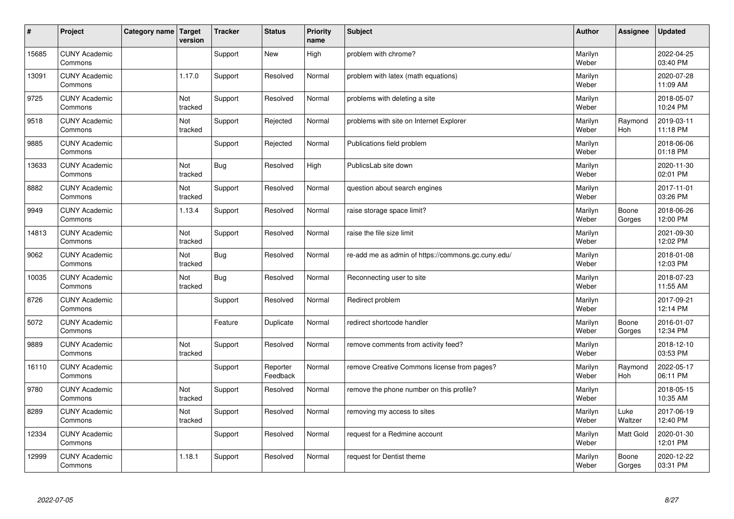| #     | Project                         | Category name   Target | version        | <b>Tracker</b> | <b>Status</b>        | <b>Priority</b><br>name | <b>Subject</b>                                     | <b>Author</b>    | <b>Assignee</b> | <b>Updated</b>         |
|-------|---------------------------------|------------------------|----------------|----------------|----------------------|-------------------------|----------------------------------------------------|------------------|-----------------|------------------------|
| 15685 | <b>CUNY Academic</b><br>Commons |                        |                | Support        | <b>New</b>           | High                    | problem with chrome?                               | Marilyn<br>Weber |                 | 2022-04-25<br>03:40 PM |
| 13091 | <b>CUNY Academic</b><br>Commons |                        | 1.17.0         | Support        | Resolved             | Normal                  | problem with latex (math equations)                | Marilyn<br>Weber |                 | 2020-07-28<br>11:09 AM |
| 9725  | <b>CUNY Academic</b><br>Commons |                        | Not<br>tracked | Support        | Resolved             | Normal                  | problems with deleting a site                      | Marilyn<br>Weber |                 | 2018-05-07<br>10:24 PM |
| 9518  | <b>CUNY Academic</b><br>Commons |                        | Not<br>tracked | Support        | Rejected             | Normal                  | problems with site on Internet Explorer            | Marilyn<br>Weber | Raymond<br>Hoh  | 2019-03-11<br>11:18 PM |
| 9885  | <b>CUNY Academic</b><br>Commons |                        |                | Support        | Rejected             | Normal                  | Publications field problem                         | Marilyn<br>Weber |                 | 2018-06-06<br>01:18 PM |
| 13633 | <b>CUNY Academic</b><br>Commons |                        | Not<br>tracked | <b>Bug</b>     | Resolved             | High                    | PublicsLab site down                               | Marilyn<br>Weber |                 | 2020-11-30<br>02:01 PM |
| 8882  | <b>CUNY Academic</b><br>Commons |                        | Not<br>tracked | Support        | Resolved             | Normal                  | question about search engines                      | Marilyn<br>Weber |                 | 2017-11-01<br>03:26 PM |
| 9949  | <b>CUNY Academic</b><br>Commons |                        | 1.13.4         | Support        | Resolved             | Normal                  | raise storage space limit?                         | Marilyn<br>Weber | Boone<br>Gorges | 2018-06-26<br>12:00 PM |
| 14813 | <b>CUNY Academic</b><br>Commons |                        | Not<br>tracked | Support        | Resolved             | Normal                  | raise the file size limit                          | Marilyn<br>Weber |                 | 2021-09-30<br>12:02 PM |
| 9062  | <b>CUNY Academic</b><br>Commons |                        | Not<br>tracked | <b>Bug</b>     | Resolved             | Normal                  | re-add me as admin of https://commons.gc.cuny.edu/ | Marilyn<br>Weber |                 | 2018-01-08<br>12:03 PM |
| 10035 | <b>CUNY Academic</b><br>Commons |                        | Not<br>tracked | <b>Bug</b>     | Resolved             | Normal                  | Reconnecting user to site                          | Marilyn<br>Weber |                 | 2018-07-23<br>11:55 AM |
| 8726  | <b>CUNY Academic</b><br>Commons |                        |                | Support        | Resolved             | Normal                  | Redirect problem                                   | Marilyn<br>Weber |                 | 2017-09-21<br>12:14 PM |
| 5072  | <b>CUNY Academic</b><br>Commons |                        |                | Feature        | Duplicate            | Normal                  | redirect shortcode handler                         | Marilyn<br>Weber | Boone<br>Gorges | 2016-01-07<br>12:34 PM |
| 9889  | <b>CUNY Academic</b><br>Commons |                        | Not<br>tracked | Support        | Resolved             | Normal                  | remove comments from activity feed?                | Marilyn<br>Weber |                 | 2018-12-10<br>03:53 PM |
| 16110 | <b>CUNY Academic</b><br>Commons |                        |                | Support        | Reporter<br>Feedback | Normal                  | remove Creative Commons license from pages?        | Marilyn<br>Weber | Raymond<br>Hoh  | 2022-05-17<br>06:11 PM |
| 9780  | <b>CUNY Academic</b><br>Commons |                        | Not<br>tracked | Support        | Resolved             | Normal                  | remove the phone number on this profile?           | Marilyn<br>Weber |                 | 2018-05-15<br>10:35 AM |
| 8289  | <b>CUNY Academic</b><br>Commons |                        | Not<br>tracked | Support        | Resolved             | Normal                  | removing my access to sites                        | Marilyn<br>Weber | Luke<br>Waltzer | 2017-06-19<br>12:40 PM |
| 12334 | <b>CUNY Academic</b><br>Commons |                        |                | Support        | Resolved             | Normal                  | request for a Redmine account                      | Marilyn<br>Weber | Matt Gold       | 2020-01-30<br>12:01 PM |
| 12999 | <b>CUNY Academic</b><br>Commons |                        | 1.18.1         | Support        | Resolved             | Normal                  | request for Dentist theme                          | Marilyn<br>Weber | Boone<br>Gorges | 2020-12-22<br>03:31 PM |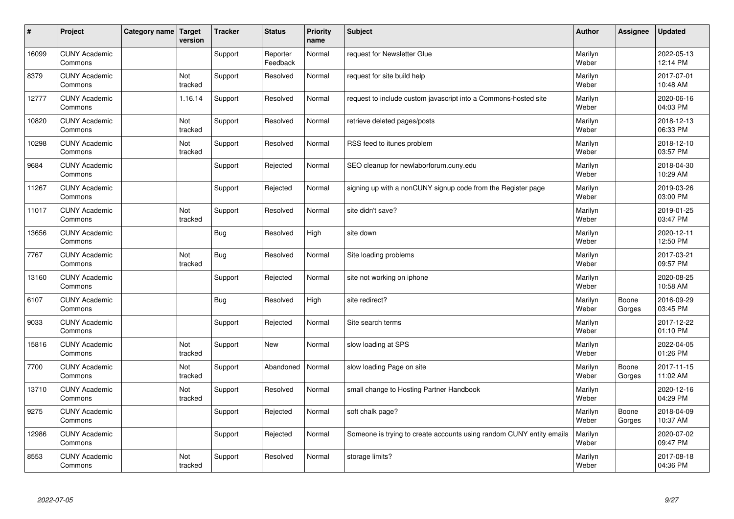| $\vert$ # | Project                         | Category name Target | version        | <b>Tracker</b> | <b>Status</b>        | <b>Priority</b><br>name | <b>Subject</b>                                                       | <b>Author</b>    | <b>Assignee</b> | <b>Updated</b>         |
|-----------|---------------------------------|----------------------|----------------|----------------|----------------------|-------------------------|----------------------------------------------------------------------|------------------|-----------------|------------------------|
| 16099     | <b>CUNY Academic</b><br>Commons |                      |                | Support        | Reporter<br>Feedback | Normal                  | request for Newsletter Glue                                          | Marilyn<br>Weber |                 | 2022-05-13<br>12:14 PM |
| 8379      | <b>CUNY Academic</b><br>Commons |                      | Not<br>tracked | Support        | Resolved             | Normal                  | request for site build help                                          | Marilyn<br>Weber |                 | 2017-07-01<br>10:48 AM |
| 12777     | <b>CUNY Academic</b><br>Commons |                      | 1.16.14        | Support        | Resolved             | Normal                  | request to include custom javascript into a Commons-hosted site      | Marilyn<br>Weber |                 | 2020-06-16<br>04:03 PM |
| 10820     | <b>CUNY Academic</b><br>Commons |                      | Not<br>tracked | Support        | Resolved             | Normal                  | retrieve deleted pages/posts                                         | Marilyn<br>Weber |                 | 2018-12-13<br>06:33 PM |
| 10298     | <b>CUNY Academic</b><br>Commons |                      | Not<br>tracked | Support        | Resolved             | Normal                  | RSS feed to itunes problem                                           | Marilyn<br>Weber |                 | 2018-12-10<br>03:57 PM |
| 9684      | <b>CUNY Academic</b><br>Commons |                      |                | Support        | Rejected             | Normal                  | SEO cleanup for newlaborforum.cuny.edu                               | Marilyn<br>Weber |                 | 2018-04-30<br>10:29 AM |
| 11267     | <b>CUNY Academic</b><br>Commons |                      |                | Support        | Rejected             | Normal                  | signing up with a nonCUNY signup code from the Register page         | Marilyn<br>Weber |                 | 2019-03-26<br>03:00 PM |
| 11017     | <b>CUNY Academic</b><br>Commons |                      | Not<br>tracked | Support        | Resolved             | Normal                  | site didn't save?                                                    | Marilyn<br>Weber |                 | 2019-01-25<br>03:47 PM |
| 13656     | <b>CUNY Academic</b><br>Commons |                      |                | Bug            | Resolved             | High                    | site down                                                            | Marilyn<br>Weber |                 | 2020-12-11<br>12:50 PM |
| 7767      | <b>CUNY Academic</b><br>Commons |                      | Not<br>tracked | <b>Bug</b>     | Resolved             | Normal                  | Site loading problems                                                | Marilyn<br>Weber |                 | 2017-03-21<br>09:57 PM |
| 13160     | <b>CUNY Academic</b><br>Commons |                      |                | Support        | Rejected             | Normal                  | site not working on iphone                                           | Marilyn<br>Weber |                 | 2020-08-25<br>10:58 AM |
| 6107      | <b>CUNY Academic</b><br>Commons |                      |                | Bug            | Resolved             | High                    | site redirect?                                                       | Marilyn<br>Weber | Boone<br>Gorges | 2016-09-29<br>03:45 PM |
| 9033      | <b>CUNY Academic</b><br>Commons |                      |                | Support        | Rejected             | Normal                  | Site search terms                                                    | Marilyn<br>Weber |                 | 2017-12-22<br>01:10 PM |
| 15816     | <b>CUNY Academic</b><br>Commons |                      | Not<br>tracked | Support        | <b>New</b>           | Normal                  | slow loading at SPS                                                  | Marilyn<br>Weber |                 | 2022-04-05<br>01:26 PM |
| 7700      | <b>CUNY Academic</b><br>Commons |                      | Not<br>tracked | Support        | Abandoned            | Normal                  | slow loading Page on site                                            | Marilyn<br>Weber | Boone<br>Gorges | 2017-11-15<br>11:02 AM |
| 13710     | <b>CUNY Academic</b><br>Commons |                      | Not<br>tracked | Support        | Resolved             | Normal                  | small change to Hosting Partner Handbook                             | Marilyn<br>Weber |                 | 2020-12-16<br>04:29 PM |
| 9275      | <b>CUNY Academic</b><br>Commons |                      |                | Support        | Rejected             | Normal                  | soft chalk page?                                                     | Marilyn<br>Weber | Boone<br>Gorges | 2018-04-09<br>10:37 AM |
| 12986     | <b>CUNY Academic</b><br>Commons |                      |                | Support        | Rejected             | Normal                  | Someone is trying to create accounts using random CUNY entity emails | Marilyn<br>Weber |                 | 2020-07-02<br>09:47 PM |
| 8553      | <b>CUNY Academic</b><br>Commons |                      | Not<br>tracked | Support        | Resolved             | Normal                  | storage limits?                                                      | Marilyn<br>Weber |                 | 2017-08-18<br>04:36 PM |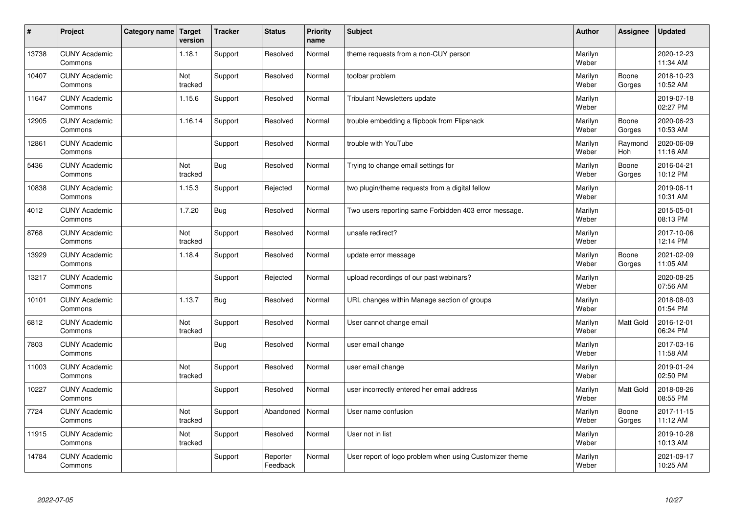| $\vert$ # | Project                         | Category name   Target | version        | <b>Tracker</b> | <b>Status</b>        | <b>Priority</b><br>name | <b>Subject</b>                                          | <b>Author</b>    | Assignee         | <b>Updated</b>         |
|-----------|---------------------------------|------------------------|----------------|----------------|----------------------|-------------------------|---------------------------------------------------------|------------------|------------------|------------------------|
| 13738     | <b>CUNY Academic</b><br>Commons |                        | 1.18.1         | Support        | Resolved             | Normal                  | theme requests from a non-CUY person                    | Marilyn<br>Weber |                  | 2020-12-23<br>11:34 AM |
| 10407     | <b>CUNY Academic</b><br>Commons |                        | Not<br>tracked | Support        | Resolved             | Normal                  | toolbar problem                                         | Marilyn<br>Weber | Boone<br>Gorges  | 2018-10-23<br>10:52 AM |
| 11647     | <b>CUNY Academic</b><br>Commons |                        | 1.15.6         | Support        | Resolved             | Normal                  | <b>Tribulant Newsletters update</b>                     | Marilyn<br>Weber |                  | 2019-07-18<br>02:27 PM |
| 12905     | <b>CUNY Academic</b><br>Commons |                        | 1.16.14        | Support        | Resolved             | Normal                  | trouble embedding a flipbook from Flipsnack             | Marilyn<br>Weber | Boone<br>Gorges  | 2020-06-23<br>10:53 AM |
| 12861     | <b>CUNY Academic</b><br>Commons |                        |                | Support        | Resolved             | Normal                  | trouble with YouTube                                    | Marilyn<br>Weber | Raymond<br>Hoh   | 2020-06-09<br>11:16 AM |
| 5436      | <b>CUNY Academic</b><br>Commons |                        | Not<br>tracked | Bug            | Resolved             | Normal                  | Trying to change email settings for                     | Marilyn<br>Weber | Boone<br>Gorges  | 2016-04-21<br>10:12 PM |
| 10838     | <b>CUNY Academic</b><br>Commons |                        | 1.15.3         | Support        | Rejected             | Normal                  | two plugin/theme requests from a digital fellow         | Marilyn<br>Weber |                  | 2019-06-11<br>10:31 AM |
| 4012      | <b>CUNY Academic</b><br>Commons |                        | 1.7.20         | <b>Bug</b>     | Resolved             | Normal                  | Two users reporting same Forbidden 403 error message.   | Marilyn<br>Weber |                  | 2015-05-01<br>08:13 PM |
| 8768      | <b>CUNY Academic</b><br>Commons |                        | Not<br>tracked | Support        | Resolved             | Normal                  | unsafe redirect?                                        | Marilyn<br>Weber |                  | 2017-10-06<br>12:14 PM |
| 13929     | <b>CUNY Academic</b><br>Commons |                        | 1.18.4         | Support        | Resolved             | Normal                  | update error message                                    | Marilyn<br>Weber | Boone<br>Gorges  | 2021-02-09<br>11:05 AM |
| 13217     | <b>CUNY Academic</b><br>Commons |                        |                | Support        | Rejected             | Normal                  | upload recordings of our past webinars?                 | Marilyn<br>Weber |                  | 2020-08-25<br>07:56 AM |
| 10101     | <b>CUNY Academic</b><br>Commons |                        | 1.13.7         | Bug            | Resolved             | Normal                  | URL changes within Manage section of groups             | Marilyn<br>Weber |                  | 2018-08-03<br>01:54 PM |
| 6812      | <b>CUNY Academic</b><br>Commons |                        | Not<br>tracked | Support        | Resolved             | Normal                  | User cannot change email                                | Marilyn<br>Weber | Matt Gold        | 2016-12-01<br>06:24 PM |
| 7803      | <b>CUNY Academic</b><br>Commons |                        |                | Bug            | Resolved             | Normal                  | user email change                                       | Marilyn<br>Weber |                  | 2017-03-16<br>11:58 AM |
| 11003     | <b>CUNY Academic</b><br>Commons |                        | Not<br>tracked | Support        | Resolved             | Normal                  | user email change                                       | Marilyn<br>Weber |                  | 2019-01-24<br>02:50 PM |
| 10227     | <b>CUNY Academic</b><br>Commons |                        |                | Support        | Resolved             | Normal                  | user incorrectly entered her email address              | Marilyn<br>Weber | <b>Matt Gold</b> | 2018-08-26<br>08:55 PM |
| 7724      | <b>CUNY Academic</b><br>Commons |                        | Not<br>tracked | Support        | Abandoned            | Normal                  | User name confusion                                     | Marilyn<br>Weber | Boone<br>Gorges  | 2017-11-15<br>11:12 AM |
| 11915     | <b>CUNY Academic</b><br>Commons |                        | Not<br>tracked | Support        | Resolved             | Normal                  | User not in list                                        | Marilyn<br>Weber |                  | 2019-10-28<br>10:13 AM |
| 14784     | <b>CUNY Academic</b><br>Commons |                        |                | Support        | Reporter<br>Feedback | Normal                  | User report of logo problem when using Customizer theme | Marilyn<br>Weber |                  | 2021-09-17<br>10:25 AM |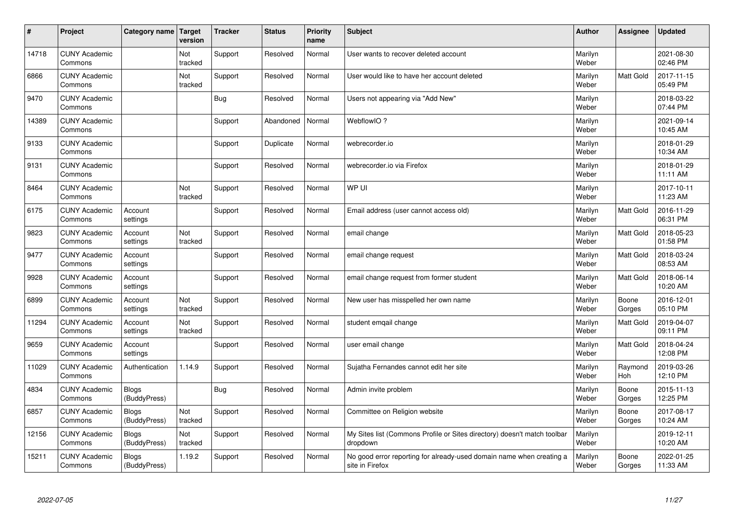| $\sharp$ | Project                         | Category name   Target       | version        | <b>Tracker</b> | <b>Status</b> | <b>Priority</b><br>name | <b>Subject</b>                                                                          | <b>Author</b>    | Assignee         | <b>Updated</b>         |
|----------|---------------------------------|------------------------------|----------------|----------------|---------------|-------------------------|-----------------------------------------------------------------------------------------|------------------|------------------|------------------------|
| 14718    | <b>CUNY Academic</b><br>Commons |                              | Not<br>tracked | Support        | Resolved      | Normal                  | User wants to recover deleted account                                                   | Marilyn<br>Weber |                  | 2021-08-30<br>02:46 PM |
| 6866     | <b>CUNY Academic</b><br>Commons |                              | Not<br>tracked | Support        | Resolved      | Normal                  | User would like to have her account deleted                                             | Marilyn<br>Weber | <b>Matt Gold</b> | 2017-11-15<br>05:49 PM |
| 9470     | <b>CUNY Academic</b><br>Commons |                              |                | Bug            | Resolved      | Normal                  | Users not appearing via "Add New"                                                       | Marilyn<br>Weber |                  | 2018-03-22<br>07:44 PM |
| 14389    | <b>CUNY Academic</b><br>Commons |                              |                | Support        | Abandoned     | Normal                  | WebflowIO?                                                                              | Marilyn<br>Weber |                  | 2021-09-14<br>10:45 AM |
| 9133     | <b>CUNY Academic</b><br>Commons |                              |                | Support        | Duplicate     | Normal                  | webrecorder.io                                                                          | Marilyn<br>Weber |                  | 2018-01-29<br>10:34 AM |
| 9131     | <b>CUNY Academic</b><br>Commons |                              |                | Support        | Resolved      | Normal                  | webrecorder.io via Firefox                                                              | Marilyn<br>Weber |                  | 2018-01-29<br>11:11 AM |
| 8464     | <b>CUNY Academic</b><br>Commons |                              | Not<br>tracked | Support        | Resolved      | Normal                  | WP UI                                                                                   | Marilyn<br>Weber |                  | 2017-10-11<br>11:23 AM |
| 6175     | <b>CUNY Academic</b><br>Commons | Account<br>settings          |                | Support        | Resolved      | Normal                  | Email address (user cannot access old)                                                  | Marilyn<br>Weber | Matt Gold        | 2016-11-29<br>06:31 PM |
| 9823     | <b>CUNY Academic</b><br>Commons | Account<br>settings          | Not<br>tracked | Support        | Resolved      | Normal                  | email change                                                                            | Marilyn<br>Weber | <b>Matt Gold</b> | 2018-05-23<br>01:58 PM |
| 9477     | <b>CUNY Academic</b><br>Commons | Account<br>settings          |                | Support        | Resolved      | Normal                  | email change request                                                                    | Marilyn<br>Weber | <b>Matt Gold</b> | 2018-03-24<br>08:53 AM |
| 9928     | <b>CUNY Academic</b><br>Commons | Account<br>settings          |                | Support        | Resolved      | Normal                  | email change request from former student                                                | Marilyn<br>Weber | Matt Gold        | 2018-06-14<br>10:20 AM |
| 6899     | <b>CUNY Academic</b><br>Commons | Account<br>settings          | Not<br>tracked | Support        | Resolved      | Normal                  | New user has misspelled her own name                                                    | Marilyn<br>Weber | Boone<br>Gorges  | 2016-12-01<br>05:10 PM |
| 11294    | <b>CUNY Academic</b><br>Commons | Account<br>settings          | Not<br>tracked | Support        | Resolved      | Normal                  | student emgail change                                                                   | Marilyn<br>Weber | <b>Matt Gold</b> | 2019-04-07<br>09:11 PM |
| 9659     | <b>CUNY Academic</b><br>Commons | Account<br>settings          |                | Support        | Resolved      | Normal                  | user email change                                                                       | Marilyn<br>Weber | <b>Matt Gold</b> | 2018-04-24<br>12:08 PM |
| 11029    | <b>CUNY Academic</b><br>Commons | Authentication               | 1.14.9         | Support        | Resolved      | Normal                  | Sujatha Fernandes cannot edit her site                                                  | Marilyn<br>Weber | Raymond<br>Hoh   | 2019-03-26<br>12:10 PM |
| 4834     | <b>CUNY Academic</b><br>Commons | <b>Blogs</b><br>(BuddyPress) |                | Bug            | Resolved      | Normal                  | Admin invite problem                                                                    | Marilyn<br>Weber | Boone<br>Gorges  | 2015-11-13<br>12:25 PM |
| 6857     | <b>CUNY Academic</b><br>Commons | <b>Blogs</b><br>(BuddyPress) | Not<br>tracked | Support        | Resolved      | Normal                  | Committee on Religion website                                                           | Marilyn<br>Weber | Boone<br>Gorges  | 2017-08-17<br>10:24 AM |
| 12156    | <b>CUNY Academic</b><br>Commons | <b>Blogs</b><br>(BuddyPress) | Not<br>tracked | Support        | Resolved      | Normal                  | My Sites list (Commons Profile or Sites directory) doesn't match toolbar<br>dropdown    | Marilyn<br>Weber |                  | 2019-12-11<br>10:20 AM |
| 15211    | <b>CUNY Academic</b><br>Commons | <b>Blogs</b><br>(BuddyPress) | 1.19.2         | Support        | Resolved      | Normal                  | No good error reporting for already-used domain name when creating a<br>site in Firefox | Marilyn<br>Weber | Boone<br>Gorges  | 2022-01-25<br>11:33 AM |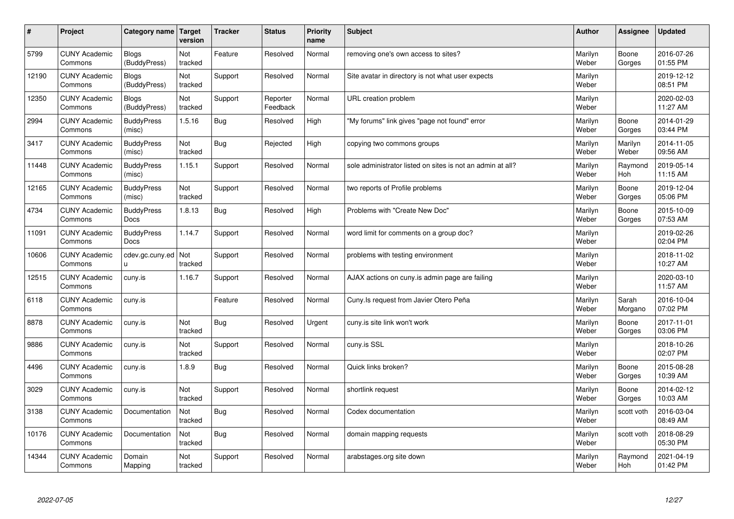| #     | Project                         | Category name   Target           | version        | <b>Tracker</b> | <b>Status</b>        | <b>Priority</b><br>name | <b>Subject</b>                                             | <b>Author</b>    | Assignee         | Updated                |
|-------|---------------------------------|----------------------------------|----------------|----------------|----------------------|-------------------------|------------------------------------------------------------|------------------|------------------|------------------------|
| 5799  | <b>CUNY Academic</b><br>Commons | <b>Blogs</b><br>(BuddyPress)     | Not<br>tracked | Feature        | Resolved             | Normal                  | removing one's own access to sites?                        | Marilyn<br>Weber | Boone<br>Gorges  | 2016-07-26<br>01:55 PM |
| 12190 | <b>CUNY Academic</b><br>Commons | Blogs<br>(BuddyPress)            | Not<br>tracked | Support        | Resolved             | Normal                  | Site avatar in directory is not what user expects          | Marilyn<br>Weber |                  | 2019-12-12<br>08:51 PM |
| 12350 | <b>CUNY Academic</b><br>Commons | <b>Blogs</b><br>(BuddyPress)     | Not<br>tracked | Support        | Reporter<br>Feedback | Normal                  | URL creation problem                                       | Marilyn<br>Weber |                  | 2020-02-03<br>11:27 AM |
| 2994  | <b>CUNY Academic</b><br>Commons | <b>BuddyPress</b><br>(misc)      | 1.5.16         | Bug            | Resolved             | High                    | "My forums" link gives "page not found" error              | Marilyn<br>Weber | Boone<br>Gorges  | 2014-01-29<br>03:44 PM |
| 3417  | <b>CUNY Academic</b><br>Commons | <b>BuddyPress</b><br>(misc)      | Not<br>tracked | Bug            | Rejected             | High                    | copying two commons groups                                 | Marilyn<br>Weber | Marilyn<br>Weber | 2014-11-05<br>09:56 AM |
| 11448 | <b>CUNY Academic</b><br>Commons | <b>BuddyPress</b><br>(misc)      | 1.15.1         | Support        | Resolved             | Normal                  | sole administrator listed on sites is not an admin at all? | Marilyn<br>Weber | Raymond<br>Hoh   | 2019-05-14<br>11:15 AM |
| 12165 | <b>CUNY Academic</b><br>Commons | <b>BuddyPress</b><br>(misc)      | Not<br>tracked | Support        | Resolved             | Normal                  | two reports of Profile problems                            | Marilyn<br>Weber | Boone<br>Gorges  | 2019-12-04<br>05:06 PM |
| 4734  | <b>CUNY Academic</b><br>Commons | <b>BuddyPress</b><br>Docs        | 1.8.13         | Bug            | Resolved             | High                    | Problems with "Create New Doc"                             | Marilyn<br>Weber | Boone<br>Gorges  | 2015-10-09<br>07:53 AM |
| 11091 | <b>CUNY Academic</b><br>Commons | <b>BuddyPress</b><br><b>Docs</b> | 1.14.7         | Support        | Resolved             | Normal                  | word limit for comments on a group doc?                    | Marilyn<br>Weber |                  | 2019-02-26<br>02:04 PM |
| 10606 | <b>CUNY Academic</b><br>Commons | cdev.gc.cuny.ed<br>u.            | Not<br>tracked | Support        | Resolved             | Normal                  | problems with testing environment                          | Marilyn<br>Weber |                  | 2018-11-02<br>10:27 AM |
| 12515 | <b>CUNY Academic</b><br>Commons | cuny.is                          | 1.16.7         | Support        | Resolved             | Normal                  | AJAX actions on cuny is admin page are failing             | Marilyn<br>Weber |                  | 2020-03-10<br>11:57 AM |
| 6118  | <b>CUNY Academic</b><br>Commons | cuny.is                          |                | Feature        | Resolved             | Normal                  | Cuny. Is request from Javier Otero Peña                    | Marilyn<br>Weber | Sarah<br>Morgano | 2016-10-04<br>07:02 PM |
| 8878  | <b>CUNY Academic</b><br>Commons | cuny.is                          | Not<br>tracked | Bug            | Resolved             | Urgent                  | cuny is site link won't work                               | Marilyn<br>Weber | Boone<br>Gorges  | 2017-11-01<br>03:06 PM |
| 9886  | <b>CUNY Academic</b><br>Commons | cuny.is                          | Not<br>tracked | Support        | Resolved             | Normal                  | cuny.is SSL                                                | Marilyn<br>Weber |                  | 2018-10-26<br>02:07 PM |
| 4496  | <b>CUNY Academic</b><br>Commons | cuny.is                          | 1.8.9          | Bug            | Resolved             | Normal                  | Quick links broken?                                        | Marilyn<br>Weber | Boone<br>Gorges  | 2015-08-28<br>10:39 AM |
| 3029  | <b>CUNY Academic</b><br>Commons | cuny.is                          | Not<br>tracked | Support        | Resolved             | Normal                  | shortlink request                                          | Marilyn<br>Weber | Boone<br>Gorges  | 2014-02-12<br>10:03 AM |
| 3138  | <b>CUNY Academic</b><br>Commons | Documentation                    | Not<br>tracked | Bug            | Resolved             | Normal                  | Codex documentation                                        | Marilyn<br>Weber | scott voth       | 2016-03-04<br>08:49 AM |
| 10176 | <b>CUNY Academic</b><br>Commons | Documentation                    | Not<br>tracked | Bug            | Resolved             | Normal                  | domain mapping requests                                    | Marilyn<br>Weber | scott voth       | 2018-08-29<br>05:30 PM |
| 14344 | <b>CUNY Academic</b><br>Commons | Domain<br>Mapping                | Not<br>tracked | Support        | Resolved             | Normal                  | arabstages.org site down                                   | Marilyn<br>Weber | Raymond<br>Hoh   | 2021-04-19<br>01:42 PM |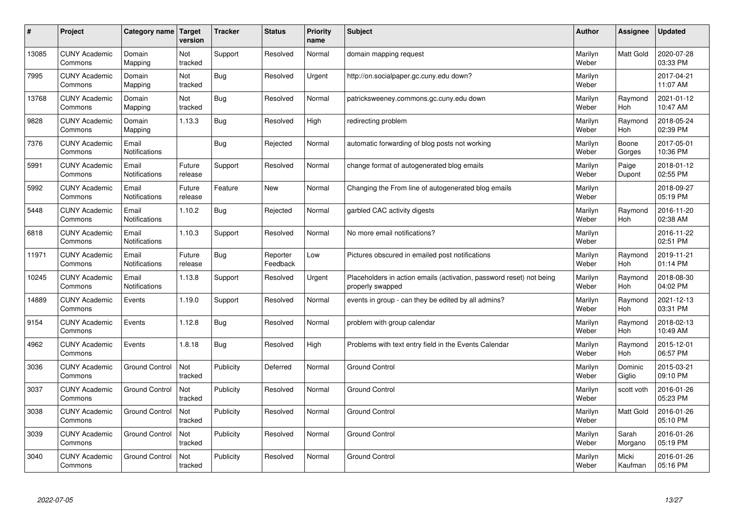| #     | Project                         | Category name   Target        | version           | <b>Tracker</b> | <b>Status</b>        | <b>Priority</b><br>name | <b>Subject</b>                                                                           | <b>Author</b>    | <b>Assignee</b>       | <b>Updated</b>         |
|-------|---------------------------------|-------------------------------|-------------------|----------------|----------------------|-------------------------|------------------------------------------------------------------------------------------|------------------|-----------------------|------------------------|
| 13085 | <b>CUNY Academic</b><br>Commons | Domain<br>Mapping             | Not<br>tracked    | Support        | Resolved             | Normal                  | domain mapping request                                                                   | Marilyn<br>Weber | <b>Matt Gold</b>      | 2020-07-28<br>03:33 PM |
| 7995  | <b>CUNY Academic</b><br>Commons | Domain<br>Mapping             | Not<br>tracked    | Bug            | Resolved             | Urgent                  | http://on.socialpaper.gc.cuny.edu down?                                                  | Marilyn<br>Weber |                       | 2017-04-21<br>11:07 AM |
| 13768 | <b>CUNY Academic</b><br>Commons | Domain<br>Mapping             | Not<br>tracked    | Bug            | Resolved             | Normal                  | patricksweeney.commons.gc.cuny.edu down                                                  | Marilyn<br>Weber | Raymond<br>Hoh        | 2021-01-12<br>10:47 AM |
| 9828  | <b>CUNY Academic</b><br>Commons | Domain<br>Mapping             | 1.13.3            | Bug            | Resolved             | High                    | redirecting problem                                                                      | Marilyn<br>Weber | Raymond<br><b>Hoh</b> | 2018-05-24<br>02:39 PM |
| 7376  | <b>CUNY Academic</b><br>Commons | Email<br>Notifications        |                   | Bug            | Rejected             | Normal                  | automatic forwarding of blog posts not working                                           | Marilyn<br>Weber | Boone<br>Gorges       | 2017-05-01<br>10:36 PM |
| 5991  | <b>CUNY Academic</b><br>Commons | Email<br>Notifications        | Future<br>release | Support        | Resolved             | Normal                  | change format of autogenerated blog emails                                               | Marilyn<br>Weber | Paige<br>Dupont       | 2018-01-12<br>02:55 PM |
| 5992  | <b>CUNY Academic</b><br>Commons | Email<br>Notifications        | Future<br>release | Feature        | <b>New</b>           | Normal                  | Changing the From line of autogenerated blog emails                                      | Marilyn<br>Weber |                       | 2018-09-27<br>05:19 PM |
| 5448  | <b>CUNY Academic</b><br>Commons | Email<br><b>Notifications</b> | 1.10.2            | Bug            | Rejected             | Normal                  | garbled CAC activity digests                                                             | Marilyn<br>Weber | Raymond<br><b>Hoh</b> | 2016-11-20<br>02:38 AM |
| 6818  | <b>CUNY Academic</b><br>Commons | Email<br><b>Notifications</b> | 1.10.3            | Support        | Resolved             | Normal                  | No more email notifications?                                                             | Marilyn<br>Weber |                       | 2016-11-22<br>02:51 PM |
| 11971 | <b>CUNY Academic</b><br>Commons | Email<br>Notifications        | Future<br>release | Bug            | Reporter<br>Feedback | Low                     | Pictures obscured in emailed post notifications                                          | Marilyn<br>Weber | Raymond<br>Hoh        | 2019-11-21<br>01:14 PM |
| 10245 | <b>CUNY Academic</b><br>Commons | Email<br>Notifications        | 1.13.8            | Support        | Resolved             | Urgent                  | Placeholders in action emails (activation, password reset) not being<br>properly swapped | Marilyn<br>Weber | Raymond<br><b>Hoh</b> | 2018-08-30<br>04:02 PM |
| 14889 | <b>CUNY Academic</b><br>Commons | Events                        | 1.19.0            | Support        | Resolved             | Normal                  | events in group - can they be edited by all admins?                                      | Marilyn<br>Weber | Raymond<br><b>Hoh</b> | 2021-12-13<br>03:31 PM |
| 9154  | <b>CUNY Academic</b><br>Commons | Events                        | 1.12.8            | <b>Bug</b>     | Resolved             | Normal                  | problem with group calendar                                                              | Marilyn<br>Weber | Raymond<br>Hoh        | 2018-02-13<br>10:49 AM |
| 4962  | <b>CUNY Academic</b><br>Commons | Events                        | 1.8.18            | <b>Bug</b>     | Resolved             | High                    | Problems with text entry field in the Events Calendar                                    | Marilyn<br>Weber | Raymond<br>Hoh        | 2015-12-01<br>06:57 PM |
| 3036  | <b>CUNY Academic</b><br>Commons | <b>Ground Control</b>         | Not<br>tracked    | Publicity      | Deferred             | Normal                  | <b>Ground Control</b>                                                                    | Marilyn<br>Weber | Dominic<br>Giglio     | 2015-03-21<br>09:10 PM |
| 3037  | <b>CUNY Academic</b><br>Commons | <b>Ground Control</b>         | Not<br>tracked    | Publicity      | Resolved             | Normal                  | <b>Ground Control</b>                                                                    | Marilyn<br>Weber | scott voth            | 2016-01-26<br>05:23 PM |
| 3038  | <b>CUNY Academic</b><br>Commons | <b>Ground Control</b>         | Not<br>tracked    | Publicity      | Resolved             | Normal                  | <b>Ground Control</b>                                                                    | Marilyn<br>Weber | Matt Gold             | 2016-01-26<br>05:10 PM |
| 3039  | <b>CUNY Academic</b><br>Commons | <b>Ground Control</b>         | Not<br>tracked    | Publicity      | Resolved             | Normal                  | <b>Ground Control</b>                                                                    | Marilyn<br>Weber | Sarah<br>Morgano      | 2016-01-26<br>05:19 PM |
| 3040  | <b>CUNY Academic</b><br>Commons | <b>Ground Control</b>         | Not<br>tracked    | Publicity      | Resolved             | Normal                  | <b>Ground Control</b>                                                                    | Marilyn<br>Weber | Micki<br>Kaufman      | 2016-01-26<br>05:16 PM |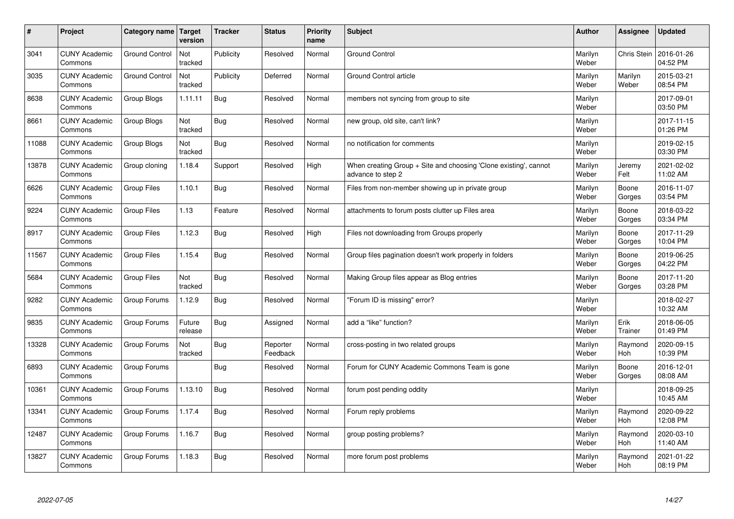| $\sharp$ | Project                         | Category name   Target | version           | <b>Tracker</b> | <b>Status</b>        | <b>Priority</b><br>name | <b>Subject</b>                                                                        | <b>Author</b>    | Assignee              | <b>Updated</b>         |
|----------|---------------------------------|------------------------|-------------------|----------------|----------------------|-------------------------|---------------------------------------------------------------------------------------|------------------|-----------------------|------------------------|
| 3041     | <b>CUNY Academic</b><br>Commons | <b>Ground Control</b>  | Not<br>tracked    | Publicity      | Resolved             | Normal                  | <b>Ground Control</b>                                                                 | Marilyn<br>Weber | Chris Stein           | 2016-01-26<br>04:52 PM |
| 3035     | <b>CUNY Academic</b><br>Commons | <b>Ground Control</b>  | Not<br>tracked    | Publicity      | Deferred             | Normal                  | <b>Ground Control article</b>                                                         | Marilyn<br>Weber | Marilyn<br>Weber      | 2015-03-21<br>08:54 PM |
| 8638     | <b>CUNY Academic</b><br>Commons | Group Blogs            | 1.11.11           | Bug            | Resolved             | Normal                  | members not syncing from group to site                                                | Marilyn<br>Weber |                       | 2017-09-01<br>03:50 PM |
| 8661     | <b>CUNY Academic</b><br>Commons | Group Blogs            | Not<br>tracked    | Bug            | Resolved             | Normal                  | new group, old site, can't link?                                                      | Marilyn<br>Weber |                       | 2017-11-15<br>01:26 PM |
| 11088    | <b>CUNY Academic</b><br>Commons | Group Blogs            | Not<br>tracked    | Bug            | Resolved             | Normal                  | no notification for comments                                                          | Marilyn<br>Weber |                       | 2019-02-15<br>03:30 PM |
| 13878    | <b>CUNY Academic</b><br>Commons | Group cloning          | 1.18.4            | Support        | Resolved             | High                    | When creating Group + Site and choosing 'Clone existing', cannot<br>advance to step 2 | Marilyn<br>Weber | Jeremy<br>Felt        | 2021-02-02<br>11:02 AM |
| 6626     | <b>CUNY Academic</b><br>Commons | <b>Group Files</b>     | 1.10.1            | <b>Bug</b>     | Resolved             | Normal                  | Files from non-member showing up in private group                                     | Marilyn<br>Weber | Boone<br>Gorges       | 2016-11-07<br>03:54 PM |
| 9224     | <b>CUNY Academic</b><br>Commons | Group Files            | 1.13              | Feature        | Resolved             | Normal                  | attachments to forum posts clutter up Files area                                      | Marilyn<br>Weber | Boone<br>Gorges       | 2018-03-22<br>03:34 PM |
| 8917     | <b>CUNY Academic</b><br>Commons | <b>Group Files</b>     | 1.12.3            | Bug            | Resolved             | High                    | Files not downloading from Groups properly                                            | Marilyn<br>Weber | Boone<br>Gorges       | 2017-11-29<br>10:04 PM |
| 11567    | <b>CUNY Academic</b><br>Commons | <b>Group Files</b>     | 1.15.4            | Bug            | Resolved             | Normal                  | Group files pagination doesn't work properly in folders                               | Marilyn<br>Weber | Boone<br>Gorges       | 2019-06-25<br>04:22 PM |
| 5684     | <b>CUNY Academic</b><br>Commons | Group Files            | Not<br>tracked    | Bug            | Resolved             | Normal                  | Making Group files appear as Blog entries                                             | Marilyn<br>Weber | Boone<br>Gorges       | 2017-11-20<br>03:28 PM |
| 9282     | <b>CUNY Academic</b><br>Commons | Group Forums           | 1.12.9            | <b>Bug</b>     | Resolved             | Normal                  | 'Forum ID is missing" error?                                                          | Marilyn<br>Weber |                       | 2018-02-27<br>10:32 AM |
| 9835     | <b>CUNY Academic</b><br>Commons | Group Forums           | Future<br>release | Bug            | Assigned             | Normal                  | add a "like" function?                                                                | Marilyn<br>Weber | Erik<br>Trainer       | 2018-06-05<br>01:49 PM |
| 13328    | <b>CUNY Academic</b><br>Commons | Group Forums           | Not<br>tracked    | Bug            | Reporter<br>Feedback | Normal                  | cross-posting in two related groups                                                   | Marilyn<br>Weber | Raymond<br><b>Hoh</b> | 2020-09-15<br>10:39 PM |
| 6893     | <b>CUNY Academic</b><br>Commons | Group Forums           |                   | Bug            | Resolved             | Normal                  | Forum for CUNY Academic Commons Team is gone                                          | Marilyn<br>Weber | Boone<br>Gorges       | 2016-12-01<br>08:08 AM |
| 10361    | <b>CUNY Academic</b><br>Commons | Group Forums           | 1.13.10           | Bug            | Resolved             | Normal                  | forum post pending oddity                                                             | Marilyn<br>Weber |                       | 2018-09-25<br>10:45 AM |
| 13341    | <b>CUNY Academic</b><br>Commons | Group Forums           | 1.17.4            | Bug            | Resolved             | Normal                  | Forum reply problems                                                                  | Marilyn<br>Weber | Raymond<br>Hoh        | 2020-09-22<br>12:08 PM |
| 12487    | <b>CUNY Academic</b><br>Commons | Group Forums           | 1.16.7            | Bug            | Resolved             | Normal                  | group posting problems?                                                               | Marilyn<br>Weber | Raymond<br>Hoh        | 2020-03-10<br>11:40 AM |
| 13827    | <b>CUNY Academic</b><br>Commons | Group Forums           | 1.18.3            | Bug            | Resolved             | Normal                  | more forum post problems                                                              | Marilyn<br>Weber | Raymond<br>Hoh        | 2021-01-22<br>08:19 PM |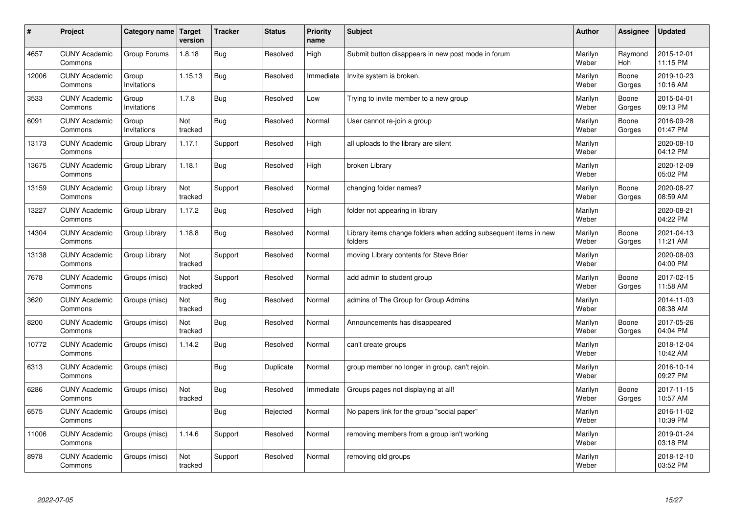| $\sharp$ | Project                         | Category name   Target | version        | <b>Tracker</b> | <b>Status</b> | <b>Priority</b><br>name | <b>Subject</b>                                                              | <b>Author</b>    | Assignee        | <b>Updated</b>         |
|----------|---------------------------------|------------------------|----------------|----------------|---------------|-------------------------|-----------------------------------------------------------------------------|------------------|-----------------|------------------------|
| 4657     | <b>CUNY Academic</b><br>Commons | Group Forums           | 1.8.18         | Bug            | Resolved      | High                    | Submit button disappears in new post mode in forum                          | Marilyn<br>Weber | Raymond<br>Hoh  | 2015-12-01<br>11:15 PM |
| 12006    | <b>CUNY Academic</b><br>Commons | Group<br>Invitations   | 1.15.13        | Bug            | Resolved      | Immediate               | Invite system is broken.                                                    | Marilyn<br>Weber | Boone<br>Gorges | 2019-10-23<br>10:16 AM |
| 3533     | <b>CUNY Academic</b><br>Commons | Group<br>Invitations   | 1.7.8          | Bug            | Resolved      | Low                     | Trying to invite member to a new group                                      | Marilyn<br>Weber | Boone<br>Gorges | 2015-04-01<br>09:13 PM |
| 6091     | <b>CUNY Academic</b><br>Commons | Group<br>Invitations   | Not<br>tracked | Bug            | Resolved      | Normal                  | User cannot re-join a group                                                 | Marilyn<br>Weber | Boone<br>Gorges | 2016-09-28<br>01:47 PM |
| 13173    | <b>CUNY Academic</b><br>Commons | Group Library          | 1.17.1         | Support        | Resolved      | High                    | all uploads to the library are silent                                       | Marilyn<br>Weber |                 | 2020-08-10<br>04:12 PM |
| 13675    | <b>CUNY Academic</b><br>Commons | Group Library          | 1.18.1         | Bug            | Resolved      | High                    | broken Library                                                              | Marilyn<br>Weber |                 | 2020-12-09<br>05:02 PM |
| 13159    | <b>CUNY Academic</b><br>Commons | Group Library          | Not<br>tracked | Support        | Resolved      | Normal                  | changing folder names?                                                      | Marilyn<br>Weber | Boone<br>Gorges | 2020-08-27<br>08:59 AM |
| 13227    | <b>CUNY Academic</b><br>Commons | Group Library          | 1.17.2         | Bug            | Resolved      | High                    | folder not appearing in library                                             | Marilyn<br>Weber |                 | 2020-08-21<br>04:22 PM |
| 14304    | <b>CUNY Academic</b><br>Commons | Group Library          | 1.18.8         | Bug            | Resolved      | Normal                  | Library items change folders when adding subsequent items in new<br>folders | Marilyn<br>Weber | Boone<br>Gorges | 2021-04-13<br>11:21 AM |
| 13138    | <b>CUNY Academic</b><br>Commons | Group Library          | Not<br>tracked | Support        | Resolved      | Normal                  | moving Library contents for Steve Brier                                     | Marilyn<br>Weber |                 | 2020-08-03<br>04:00 PM |
| 7678     | <b>CUNY Academic</b><br>Commons | Groups (misc)          | Not<br>tracked | Support        | Resolved      | Normal                  | add admin to student group                                                  | Marilyn<br>Weber | Boone<br>Gorges | 2017-02-15<br>11:58 AM |
| 3620     | <b>CUNY Academic</b><br>Commons | Groups (misc)          | Not<br>tracked | <b>Bug</b>     | Resolved      | Normal                  | admins of The Group for Group Admins                                        | Marilyn<br>Weber |                 | 2014-11-03<br>08:38 AM |
| 8200     | <b>CUNY Academic</b><br>Commons | Groups (misc)          | Not<br>tracked | Bug            | Resolved      | Normal                  | Announcements has disappeared                                               | Marilyn<br>Weber | Boone<br>Gorges | 2017-05-26<br>04:04 PM |
| 10772    | <b>CUNY Academic</b><br>Commons | Groups (misc)          | 1.14.2         | Bug            | Resolved      | Normal                  | can't create groups                                                         | Marilyn<br>Weber |                 | 2018-12-04<br>10:42 AM |
| 6313     | <b>CUNY Academic</b><br>Commons | Groups (misc)          |                | Bug            | Duplicate     | Normal                  | group member no longer in group, can't rejoin.                              | Marilyn<br>Weber |                 | 2016-10-14<br>09:27 PM |
| 6286     | <b>CUNY Academic</b><br>Commons | Groups (misc)          | Not<br>tracked | Bug            | Resolved      | Immediate               | Groups pages not displaying at all!                                         | Marilyn<br>Weber | Boone<br>Gorges | 2017-11-15<br>10:57 AM |
| 6575     | <b>CUNY Academic</b><br>Commons | Groups (misc)          |                | Bug            | Rejected      | Normal                  | No papers link for the group "social paper"                                 | Marilyn<br>Weber |                 | 2016-11-02<br>10:39 PM |
| 11006    | <b>CUNY Academic</b><br>Commons | Groups (misc)          | 1.14.6         | Support        | Resolved      | Normal                  | removing members from a group isn't working                                 | Marilyn<br>Weber |                 | 2019-01-24<br>03:18 PM |
| 8978     | <b>CUNY Academic</b><br>Commons | Groups (misc)          | Not<br>tracked | Support        | Resolved      | Normal                  | removing old groups                                                         | Marilyn<br>Weber |                 | 2018-12-10<br>03:52 PM |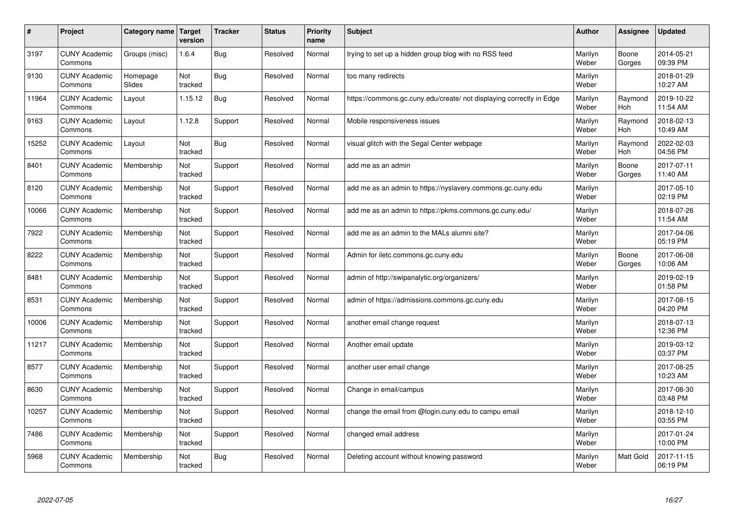| #     | Project                         | Category name   Target | version        | <b>Tracker</b> | <b>Status</b> | <b>Priority</b><br>name | <b>Subject</b>                                                       | <b>Author</b>    | <b>Assignee</b>  | <b>Updated</b>         |
|-------|---------------------------------|------------------------|----------------|----------------|---------------|-------------------------|----------------------------------------------------------------------|------------------|------------------|------------------------|
| 3197  | <b>CUNY Academic</b><br>Commons | Groups (misc)          | 1.6.4          | Bug            | Resolved      | Normal                  | trying to set up a hidden group blog with no RSS feed                | Marilyn<br>Weber | Boone<br>Gorges  | 2014-05-21<br>09:39 PM |
| 9130  | <b>CUNY Academic</b><br>Commons | Homepage<br>Slides     | Not<br>tracked | Bug            | Resolved      | Normal                  | too many redirects                                                   | Marilyn<br>Weber |                  | 2018-01-29<br>10:27 AM |
| 11964 | <b>CUNY Academic</b><br>Commons | Layout                 | 1.15.12        | Bug            | Resolved      | Normal                  | https://commons.gc.cuny.edu/create/ not displaying correctly in Edge | Marilyn<br>Weber | Raymond<br>Hoh   | 2019-10-22<br>11:54 AM |
| 9163  | <b>CUNY Academic</b><br>Commons | Layout                 | 1.12.8         | Support        | Resolved      | Normal                  | Mobile responsiveness issues                                         | Marilyn<br>Weber | Raymond<br>Hoh   | 2018-02-13<br>10:49 AM |
| 15252 | <b>CUNY Academic</b><br>Commons | Layout                 | Not<br>tracked | Bug            | Resolved      | Normal                  | visual glitch with the Segal Center webpage                          | Marilyn<br>Weber | Raymond<br>Hoh   | 2022-02-03<br>04:56 PM |
| 8401  | <b>CUNY Academic</b><br>Commons | Membership             | Not<br>tracked | Support        | Resolved      | Normal                  | add me as an admin                                                   | Marilyn<br>Weber | Boone<br>Gorges  | 2017-07-11<br>11:40 AM |
| 8120  | <b>CUNY Academic</b><br>Commons | Membership             | Not<br>tracked | Support        | Resolved      | Normal                  | add me as an admin to https://nyslavery.commons.gc.cuny.edu          | Marilyn<br>Weber |                  | 2017-05-10<br>02:19 PM |
| 10066 | <b>CUNY Academic</b><br>Commons | Membership             | Not<br>tracked | Support        | Resolved      | Normal                  | add me as an admin to https://pkms.commons.gc.cuny.edu/              | Marilyn<br>Weber |                  | 2018-07-26<br>11:54 AM |
| 7922  | <b>CUNY Academic</b><br>Commons | Membership             | Not<br>tracked | Support        | Resolved      | Normal                  | add me as an admin to the MALs alumni site?                          | Marilyn<br>Weber |                  | 2017-04-06<br>05:19 PM |
| 8222  | <b>CUNY Academic</b><br>Commons | Membership             | Not<br>tracked | Support        | Resolved      | Normal                  | Admin for iletc.commons.gc.cuny.edu                                  | Marilyn<br>Weber | Boone<br>Gorges  | 2017-06-08<br>10:06 AM |
| 8481  | <b>CUNY Academic</b><br>Commons | Membership             | Not<br>tracked | Support        | Resolved      | Normal                  | admin of http://swipanalytic.org/organizers/                         | Marilyn<br>Weber |                  | 2019-02-19<br>01:58 PM |
| 8531  | <b>CUNY Academic</b><br>Commons | Membership             | Not<br>tracked | Support        | Resolved      | Normal                  | admin of https://admissions.commons.gc.cuny.edu                      | Marilyn<br>Weber |                  | 2017-08-15<br>04:20 PM |
| 10006 | <b>CUNY Academic</b><br>Commons | Membership             | Not<br>tracked | Support        | Resolved      | Normal                  | another email change request                                         | Marilyn<br>Weber |                  | 2018-07-13<br>12:36 PM |
| 11217 | <b>CUNY Academic</b><br>Commons | Membership             | Not<br>tracked | Support        | Resolved      | Normal                  | Another email update                                                 | Marilyn<br>Weber |                  | 2019-03-12<br>03:37 PM |
| 8577  | <b>CUNY Academic</b><br>Commons | Membership             | Not<br>tracked | Support        | Resolved      | Normal                  | another user email change                                            | Marilyn<br>Weber |                  | 2017-08-25<br>10:23 AM |
| 8630  | <b>CUNY Academic</b><br>Commons | Membership             | Not<br>tracked | Support        | Resolved      | Normal                  | Change in email/campus                                               | Marilyn<br>Weber |                  | 2017-08-30<br>03:48 PM |
| 10257 | <b>CUNY Academic</b><br>Commons | Membership             | Not<br>tracked | Support        | Resolved      | Normal                  | change the email from @login.cuny.edu to campu email                 | Marilyn<br>Weber |                  | 2018-12-10<br>03:55 PM |
| 7486  | <b>CUNY Academic</b><br>Commons | Membership             | Not<br>tracked | Support        | Resolved      | Normal                  | changed email address                                                | Marilyn<br>Weber |                  | 2017-01-24<br>10:00 PM |
| 5968  | <b>CUNY Academic</b><br>Commons | Membership             | Not<br>tracked | Bug            | Resolved      | Normal                  | Deleting account without knowing password                            | Marilyn<br>Weber | <b>Matt Gold</b> | 2017-11-15<br>06:19 PM |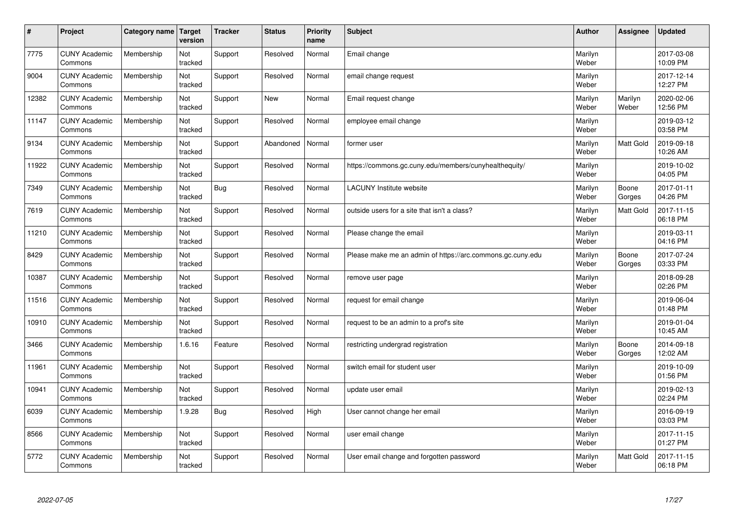| $\sharp$ | Project                         | Category name   Target | version        | <b>Tracker</b> | <b>Status</b> | <b>Priority</b><br>name | <b>Subject</b>                                             | <b>Author</b>    | Assignee         | <b>Updated</b>         |
|----------|---------------------------------|------------------------|----------------|----------------|---------------|-------------------------|------------------------------------------------------------|------------------|------------------|------------------------|
| 7775     | <b>CUNY Academic</b><br>Commons | Membership             | Not<br>tracked | Support        | Resolved      | Normal                  | Email change                                               | Marilyn<br>Weber |                  | 2017-03-08<br>10:09 PM |
| 9004     | <b>CUNY Academic</b><br>Commons | Membership             | Not<br>tracked | Support        | Resolved      | Normal                  | email change request                                       | Marilyn<br>Weber |                  | 2017-12-14<br>12:27 PM |
| 12382    | <b>CUNY Academic</b><br>Commons | Membership             | Not<br>tracked | Support        | <b>New</b>    | Normal                  | Email request change                                       | Marilyn<br>Weber | Marilyn<br>Weber | 2020-02-06<br>12:56 PM |
| 11147    | <b>CUNY Academic</b><br>Commons | Membership             | Not<br>tracked | Support        | Resolved      | Normal                  | employee email change                                      | Marilyn<br>Weber |                  | 2019-03-12<br>03:58 PM |
| 9134     | <b>CUNY Academic</b><br>Commons | Membership             | Not<br>tracked | Support        | Abandoned     | Normal                  | former user                                                | Marilyn<br>Weber | <b>Matt Gold</b> | 2019-09-18<br>10:26 AM |
| 11922    | <b>CUNY Academic</b><br>Commons | Membership             | Not<br>tracked | Support        | Resolved      | Normal                  | https://commons.gc.cuny.edu/members/cunyhealthequity/      | Marilyn<br>Weber |                  | 2019-10-02<br>04:05 PM |
| 7349     | <b>CUNY Academic</b><br>Commons | Membership             | Not<br>tracked | Bug            | Resolved      | Normal                  | <b>LACUNY</b> Institute website                            | Marilyn<br>Weber | Boone<br>Gorges  | 2017-01-11<br>04:26 PM |
| 7619     | <b>CUNY Academic</b><br>Commons | Membership             | Not<br>tracked | Support        | Resolved      | Normal                  | outside users for a site that isn't a class?               | Marilyn<br>Weber | Matt Gold        | 2017-11-15<br>06:18 PM |
| 11210    | <b>CUNY Academic</b><br>Commons | Membership             | Not<br>tracked | Support        | Resolved      | Normal                  | Please change the email                                    | Marilyn<br>Weber |                  | 2019-03-11<br>04:16 PM |
| 8429     | <b>CUNY Academic</b><br>Commons | Membership             | Not<br>tracked | Support        | Resolved      | Normal                  | Please make me an admin of https://arc.commons.gc.cuny.edu | Marilyn<br>Weber | Boone<br>Gorges  | 2017-07-24<br>03:33 PM |
| 10387    | <b>CUNY Academic</b><br>Commons | Membership             | Not<br>tracked | Support        | Resolved      | Normal                  | remove user page                                           | Marilyn<br>Weber |                  | 2018-09-28<br>02:26 PM |
| 11516    | <b>CUNY Academic</b><br>Commons | Membership             | Not<br>tracked | Support        | Resolved      | Normal                  | request for email change                                   | Marilyn<br>Weber |                  | 2019-06-04<br>01:48 PM |
| 10910    | <b>CUNY Academic</b><br>Commons | Membership             | Not<br>tracked | Support        | Resolved      | Normal                  | request to be an admin to a prof's site                    | Marilyn<br>Weber |                  | 2019-01-04<br>10:45 AM |
| 3466     | <b>CUNY Academic</b><br>Commons | Membership             | 1.6.16         | Feature        | Resolved      | Normal                  | restricting undergrad registration                         | Marilyn<br>Weber | Boone<br>Gorges  | 2014-09-18<br>12:02 AM |
| 11961    | <b>CUNY Academic</b><br>Commons | Membership             | Not<br>tracked | Support        | Resolved      | Normal                  | switch email for student user                              | Marilyn<br>Weber |                  | 2019-10-09<br>01:56 PM |
| 10941    | <b>CUNY Academic</b><br>Commons | Membership             | Not<br>tracked | Support        | Resolved      | Normal                  | update user email                                          | Marilyn<br>Weber |                  | 2019-02-13<br>02:24 PM |
| 6039     | <b>CUNY Academic</b><br>Commons | Membership             | 1.9.28         | Bug            | Resolved      | High                    | User cannot change her email                               | Marilyn<br>Weber |                  | 2016-09-19<br>03:03 PM |
| 8566     | <b>CUNY Academic</b><br>Commons | Membership             | Not<br>tracked | Support        | Resolved      | Normal                  | user email change                                          | Marilyn<br>Weber |                  | 2017-11-15<br>01:27 PM |
| 5772     | <b>CUNY Academic</b><br>Commons | Membership             | Not<br>tracked | Support        | Resolved      | Normal                  | User email change and forgotten password                   | Marilyn<br>Weber | <b>Matt Gold</b> | 2017-11-15<br>06:18 PM |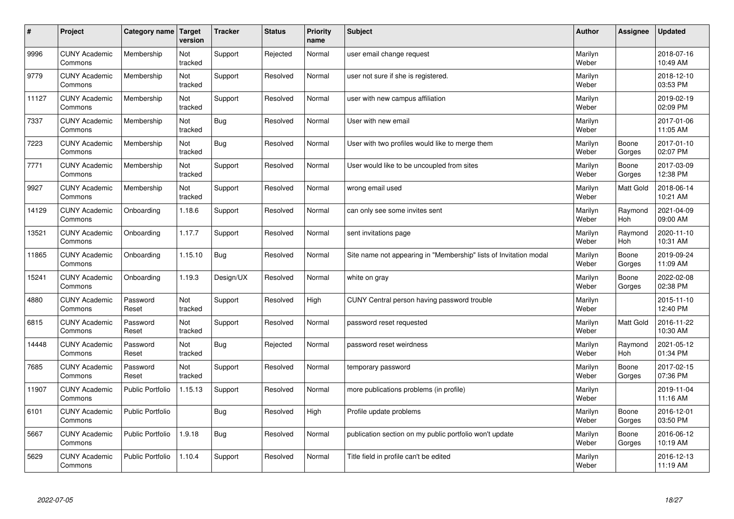| $\sharp$ | Project                         | Category name   Target  | version        | <b>Tracker</b> | <b>Status</b> | <b>Priority</b><br>name | <b>Subject</b>                                                    | <b>Author</b>    | Assignee              | <b>Updated</b>         |
|----------|---------------------------------|-------------------------|----------------|----------------|---------------|-------------------------|-------------------------------------------------------------------|------------------|-----------------------|------------------------|
| 9996     | <b>CUNY Academic</b><br>Commons | Membership              | Not<br>tracked | Support        | Rejected      | Normal                  | user email change request                                         | Marilyn<br>Weber |                       | 2018-07-16<br>10:49 AM |
| 9779     | <b>CUNY Academic</b><br>Commons | Membership              | Not<br>tracked | Support        | Resolved      | Normal                  | user not sure if she is registered.                               | Marilyn<br>Weber |                       | 2018-12-10<br>03:53 PM |
| 11127    | <b>CUNY Academic</b><br>Commons | Membership              | Not<br>tracked | Support        | Resolved      | Normal                  | user with new campus affiliation                                  | Marilyn<br>Weber |                       | 2019-02-19<br>02:09 PM |
| 7337     | <b>CUNY Academic</b><br>Commons | Membership              | Not<br>tracked | Bug            | Resolved      | Normal                  | User with new email                                               | Marilyn<br>Weber |                       | 2017-01-06<br>11:05 AM |
| 7223     | <b>CUNY Academic</b><br>Commons | Membership              | Not<br>tracked | Bug            | Resolved      | Normal                  | User with two profiles would like to merge them                   | Marilyn<br>Weber | Boone<br>Gorges       | 2017-01-10<br>02:07 PM |
| 7771     | <b>CUNY Academic</b><br>Commons | Membership              | Not<br>tracked | Support        | Resolved      | Normal                  | User would like to be uncoupled from sites                        | Marilyn<br>Weber | Boone<br>Gorges       | 2017-03-09<br>12:38 PM |
| 9927     | <b>CUNY Academic</b><br>Commons | Membership              | Not<br>tracked | Support        | Resolved      | Normal                  | wrong email used                                                  | Marilyn<br>Weber | Matt Gold             | 2018-06-14<br>10:21 AM |
| 14129    | <b>CUNY Academic</b><br>Commons | Onboarding              | 1.18.6         | Support        | Resolved      | Normal                  | can only see some invites sent                                    | Marilyn<br>Weber | Raymond<br>Hoh        | 2021-04-09<br>09:00 AM |
| 13521    | <b>CUNY Academic</b><br>Commons | Onboarding              | 1.17.7         | Support        | Resolved      | Normal                  | sent invitations page                                             | Marilyn<br>Weber | Raymond<br><b>Hoh</b> | 2020-11-10<br>10:31 AM |
| 11865    | <b>CUNY Academic</b><br>Commons | Onboarding              | 1.15.10        | Bug            | Resolved      | Normal                  | Site name not appearing in "Membership" lists of Invitation modal | Marilyn<br>Weber | Boone<br>Gorges       | 2019-09-24<br>11:09 AM |
| 15241    | <b>CUNY Academic</b><br>Commons | Onboarding              | 1.19.3         | Design/UX      | Resolved      | Normal                  | white on gray                                                     | Marilyn<br>Weber | Boone<br>Gorges       | 2022-02-08<br>02:38 PM |
| 4880     | <b>CUNY Academic</b><br>Commons | Password<br>Reset       | Not<br>tracked | Support        | Resolved      | High                    | CUNY Central person having password trouble                       | Marilyn<br>Weber |                       | 2015-11-10<br>12:40 PM |
| 6815     | <b>CUNY Academic</b><br>Commons | Password<br>Reset       | Not<br>tracked | Support        | Resolved      | Normal                  | password reset requested                                          | Marilyn<br>Weber | Matt Gold             | 2016-11-22<br>10:30 AM |
| 14448    | <b>CUNY Academic</b><br>Commons | Password<br>Reset       | Not<br>tracked | Bug            | Rejected      | Normal                  | password reset weirdness                                          | Marilyn<br>Weber | Raymond<br><b>Hoh</b> | 2021-05-12<br>01:34 PM |
| 7685     | <b>CUNY Academic</b><br>Commons | Password<br>Reset       | Not<br>tracked | Support        | Resolved      | Normal                  | temporary password                                                | Marilyn<br>Weber | Boone<br>Gorges       | 2017-02-15<br>07:36 PM |
| 11907    | <b>CUNY Academic</b><br>Commons | <b>Public Portfolio</b> | 1.15.13        | Support        | Resolved      | Normal                  | more publications problems (in profile)                           | Marilyn<br>Weber |                       | 2019-11-04<br>11:16 AM |
| 6101     | <b>CUNY Academic</b><br>Commons | <b>Public Portfolio</b> |                | Bug            | Resolved      | High                    | Profile update problems                                           | Marilyn<br>Weber | Boone<br>Gorges       | 2016-12-01<br>03:50 PM |
| 5667     | <b>CUNY Academic</b><br>Commons | <b>Public Portfolio</b> | 1.9.18         | Bug            | Resolved      | Normal                  | publication section on my public portfolio won't update           | Marilyn<br>Weber | Boone<br>Gorges       | 2016-06-12<br>10:19 AM |
| 5629     | <b>CUNY Academic</b><br>Commons | Public Portfolio        | 1.10.4         | Support        | Resolved      | Normal                  | Title field in profile can't be edited                            | Marilyn<br>Weber |                       | 2016-12-13<br>11:19 AM |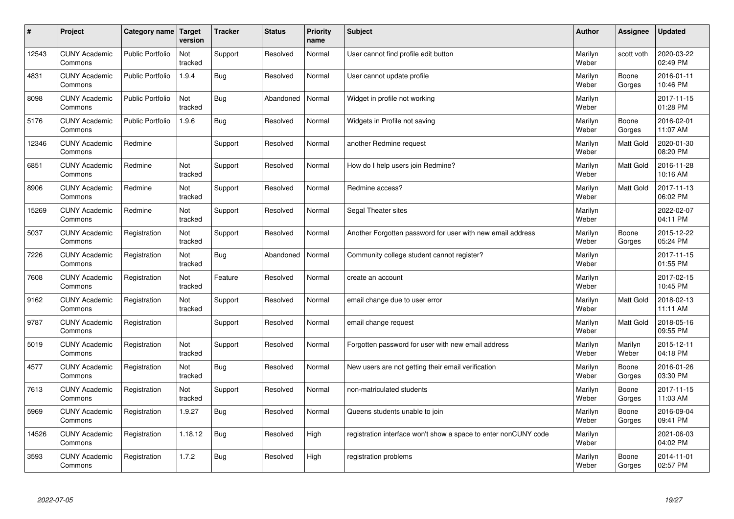| #     | Project                         | Category name Target    | version        | <b>Tracker</b> | <b>Status</b> | <b>Priority</b><br>name | <b>Subject</b>                                                  | <b>Author</b>    | Assignee         | <b>Updated</b>         |
|-------|---------------------------------|-------------------------|----------------|----------------|---------------|-------------------------|-----------------------------------------------------------------|------------------|------------------|------------------------|
| 12543 | <b>CUNY Academic</b><br>Commons | <b>Public Portfolio</b> | Not<br>tracked | Support        | Resolved      | Normal                  | User cannot find profile edit button                            | Marilyn<br>Weber | scott voth       | 2020-03-22<br>02:49 PM |
| 4831  | <b>CUNY Academic</b><br>Commons | <b>Public Portfolio</b> | 1.9.4          | Bug            | Resolved      | Normal                  | User cannot update profile                                      | Marilyn<br>Weber | Boone<br>Gorges  | 2016-01-11<br>10:46 PM |
| 8098  | <b>CUNY Academic</b><br>Commons | <b>Public Portfolio</b> | Not<br>tracked | Bug            | Abandoned     | Normal                  | Widget in profile not working                                   | Marilyn<br>Weber |                  | 2017-11-15<br>01:28 PM |
| 5176  | <b>CUNY Academic</b><br>Commons | <b>Public Portfolio</b> | 1.9.6          | Bug            | Resolved      | Normal                  | Widgets in Profile not saving                                   | Marilyn<br>Weber | Boone<br>Gorges  | 2016-02-01<br>11:07 AM |
| 12346 | <b>CUNY Academic</b><br>Commons | Redmine                 |                | Support        | Resolved      | Normal                  | another Redmine request                                         | Marilyn<br>Weber | <b>Matt Gold</b> | 2020-01-30<br>08:20 PM |
| 6851  | <b>CUNY Academic</b><br>Commons | Redmine                 | Not<br>tracked | Support        | Resolved      | Normal                  | How do I help users join Redmine?                               | Marilyn<br>Weber | Matt Gold        | 2016-11-28<br>10:16 AM |
| 8906  | <b>CUNY Academic</b><br>Commons | Redmine                 | Not<br>tracked | Support        | Resolved      | Normal                  | Redmine access?                                                 | Marilyn<br>Weber | <b>Matt Gold</b> | 2017-11-13<br>06:02 PM |
| 15269 | <b>CUNY Academic</b><br>Commons | Redmine                 | Not<br>tracked | Support        | Resolved      | Normal                  | Segal Theater sites                                             | Marilyn<br>Weber |                  | 2022-02-07<br>04:11 PM |
| 5037  | <b>CUNY Academic</b><br>Commons | Registration            | Not<br>tracked | Support        | Resolved      | Normal                  | Another Forgotten password for user with new email address      | Marilyn<br>Weber | Boone<br>Gorges  | 2015-12-22<br>05:24 PM |
| 7226  | <b>CUNY Academic</b><br>Commons | Registration            | Not<br>tracked | Bug            | Abandoned     | Normal                  | Community college student cannot register?                      | Marilyn<br>Weber |                  | 2017-11-15<br>01:55 PM |
| 7608  | <b>CUNY Academic</b><br>Commons | Registration            | Not<br>tracked | Feature        | Resolved      | Normal                  | create an account                                               | Marilyn<br>Weber |                  | 2017-02-15<br>10:45 PM |
| 9162  | <b>CUNY Academic</b><br>Commons | Registration            | Not<br>tracked | Support        | Resolved      | Normal                  | email change due to user error                                  | Marilyn<br>Weber | <b>Matt Gold</b> | 2018-02-13<br>11:11 AM |
| 9787  | <b>CUNY Academic</b><br>Commons | Registration            |                | Support        | Resolved      | Normal                  | email change request                                            | Marilyn<br>Weber | <b>Matt Gold</b> | 2018-05-16<br>09:55 PM |
| 5019  | <b>CUNY Academic</b><br>Commons | Registration            | Not<br>tracked | Support        | Resolved      | Normal                  | Forgotten password for user with new email address              | Marilyn<br>Weber | Marilyn<br>Weber | 2015-12-11<br>04:18 PM |
| 4577  | <b>CUNY Academic</b><br>Commons | Registration            | Not<br>tracked | Bug            | Resolved      | Normal                  | New users are not getting their email verification              | Marilyn<br>Weber | Boone<br>Gorges  | 2016-01-26<br>03:30 PM |
| 7613  | <b>CUNY Academic</b><br>Commons | Registration            | Not<br>tracked | Support        | Resolved      | Normal                  | non-matriculated students                                       | Marilyn<br>Weber | Boone<br>Gorges  | 2017-11-15<br>11:03 AM |
| 5969  | <b>CUNY Academic</b><br>Commons | Registration            | 1.9.27         | Bug            | Resolved      | Normal                  | Queens students unable to join                                  | Marilyn<br>Weber | Boone<br>Gorges  | 2016-09-04<br>09:41 PM |
| 14526 | <b>CUNY Academic</b><br>Commons | Registration            | 1.18.12        | Bug            | Resolved      | High                    | registration interface won't show a space to enter nonCUNY code | Marilyn<br>Weber |                  | 2021-06-03<br>04:02 PM |
| 3593  | <b>CUNY Academic</b><br>Commons | Registration            | 1.7.2          | <b>Bug</b>     | Resolved      | High                    | registration problems                                           | Marilyn<br>Weber | Boone<br>Gorges  | 2014-11-01<br>02:57 PM |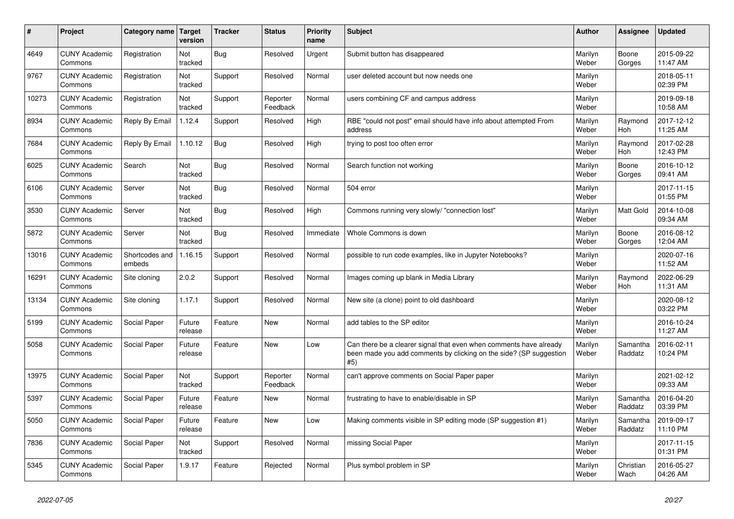| #     | Project                         | <b>Category name</b>     | Target<br>version | <b>Tracker</b> | <b>Status</b>        | <b>Priority</b><br>name | <b>Subject</b>                                                                                                                                  | <b>Author</b>    | <b>Assignee</b>     | Updated                |
|-------|---------------------------------|--------------------------|-------------------|----------------|----------------------|-------------------------|-------------------------------------------------------------------------------------------------------------------------------------------------|------------------|---------------------|------------------------|
| 4649  | <b>CUNY Academic</b><br>Commons | Registration             | Not<br>tracked    | <b>Bug</b>     | Resolved             | Urgent                  | Submit button has disappeared                                                                                                                   | Marilyn<br>Weber | Boone<br>Gorges     | 2015-09-22<br>11:47 AM |
| 9767  | <b>CUNY Academic</b><br>Commons | Registration             | Not<br>tracked    | Support        | Resolved             | Normal                  | user deleted account but now needs one                                                                                                          | Marilyn<br>Weber |                     | 2018-05-11<br>02:39 PM |
| 10273 | <b>CUNY Academic</b><br>Commons | Registration             | Not<br>tracked    | Support        | Reporter<br>Feedback | Normal                  | users combining CF and campus address                                                                                                           | Marilyn<br>Weber |                     | 2019-09-18<br>10:58 AM |
| 8934  | <b>CUNY Academic</b><br>Commons | Reply By Email           | 1.12.4            | Support        | Resolved             | High                    | RBE "could not post" email should have info about attempted From<br>address                                                                     | Marilyn<br>Weber | Raymond<br>Hoh      | 2017-12-12<br>11:25 AM |
| 7684  | <b>CUNY Academic</b><br>Commons | Reply By Email           | 1.10.12           | <b>Bug</b>     | Resolved             | High                    | trying to post too often error                                                                                                                  | Marilyn<br>Weber | Raymond<br>Hoh      | 2017-02-28<br>12:43 PM |
| 6025  | <b>CUNY Academic</b><br>Commons | Search                   | Not<br>tracked    | Bug            | Resolved             | Normal                  | Search function not working                                                                                                                     | Marilyn<br>Weber | Boone<br>Gorges     | 2016-10-12<br>09:41 AM |
| 6106  | <b>CUNY Academic</b><br>Commons | Server                   | Not<br>tracked    | <b>Bug</b>     | Resolved             | Normal                  | 504 error                                                                                                                                       | Marilyn<br>Weber |                     | 2017-11-15<br>01:55 PM |
| 3530  | <b>CUNY Academic</b><br>Commons | Server                   | Not<br>tracked    | <b>Bug</b>     | Resolved             | High                    | Commons running very slowly/ "connection lost"                                                                                                  | Marilyn<br>Weber | Matt Gold           | 2014-10-08<br>09:34 AM |
| 5872  | <b>CUNY Academic</b><br>Commons | Server                   | Not<br>tracked    | <b>Bug</b>     | Resolved             | Immediate               | Whole Commons is down                                                                                                                           | Marilyn<br>Weber | Boone<br>Gorges     | 2016-08-12<br>12:04 AM |
| 13016 | <b>CUNY Academic</b><br>Commons | Shortcodes and<br>embeds | 1.16.15           | Support        | Resolved             | Normal                  | possible to run code examples, like in Jupyter Notebooks?                                                                                       | Marilyn<br>Weber |                     | 2020-07-16<br>11:52 AM |
| 16291 | <b>CUNY Academic</b><br>Commons | Site cloning             | 2.0.2             | Support        | Resolved             | Normal                  | Images coming up blank in Media Library                                                                                                         | Marilyn<br>Weber | Raymond<br>Hoh      | 2022-06-29<br>11:31 AM |
| 13134 | <b>CUNY Academic</b><br>Commons | Site cloning             | 1.17.1            | Support        | Resolved             | Normal                  | New site (a clone) point to old dashboard                                                                                                       | Marilyn<br>Weber |                     | 2020-08-12<br>03:22 PM |
| 5199  | <b>CUNY Academic</b><br>Commons | Social Paper             | Future<br>release | Feature        | New                  | Normal                  | add tables to the SP editor                                                                                                                     | Marilyn<br>Weber |                     | 2016-10-24<br>11:27 AM |
| 5058  | <b>CUNY Academic</b><br>Commons | Social Paper             | Future<br>release | Feature        | <b>New</b>           | Low                     | Can there be a clearer signal that even when comments have already<br>been made you add comments by clicking on the side? (SP suggestion<br>#5) | Marilyn<br>Weber | Samantha<br>Raddatz | 2016-02-11<br>10:24 PM |
| 13975 | <b>CUNY Academic</b><br>Commons | Social Paper             | Not<br>tracked    | Support        | Reporter<br>Feedback | Normal                  | can't approve comments on Social Paper paper                                                                                                    | Marilyn<br>Weber |                     | 2021-02-12<br>09:33 AM |
| 5397  | <b>CUNY Academic</b><br>Commons | Social Paper             | Future<br>release | Feature        | New                  | Normal                  | frustrating to have to enable/disable in SP                                                                                                     | Marilyn<br>Weber | Samantha<br>Raddatz | 2016-04-20<br>03:39 PM |
| 5050  | <b>CUNY Academic</b><br>Commons | Social Paper             | Future<br>release | Feature        | New                  | Low                     | Making comments visible in SP editing mode (SP suggestion #1)                                                                                   | Marilyn<br>Weber | Samantha<br>Raddatz | 2019-09-17<br>11:10 PM |
| 7836  | <b>CUNY Academic</b><br>Commons | Social Paper             | Not<br>tracked    | Support        | Resolved             | Normal                  | missing Social Paper                                                                                                                            | Marilyn<br>Weber |                     | 2017-11-15<br>01:31 PM |
| 5345  | <b>CUNY Academic</b><br>Commons | Social Paper             | 1.9.17            | Feature        | Rejected             | Normal                  | Plus symbol problem in SP                                                                                                                       | Marilyn<br>Weber | Christian<br>Wach   | 2016-05-27<br>04:26 AM |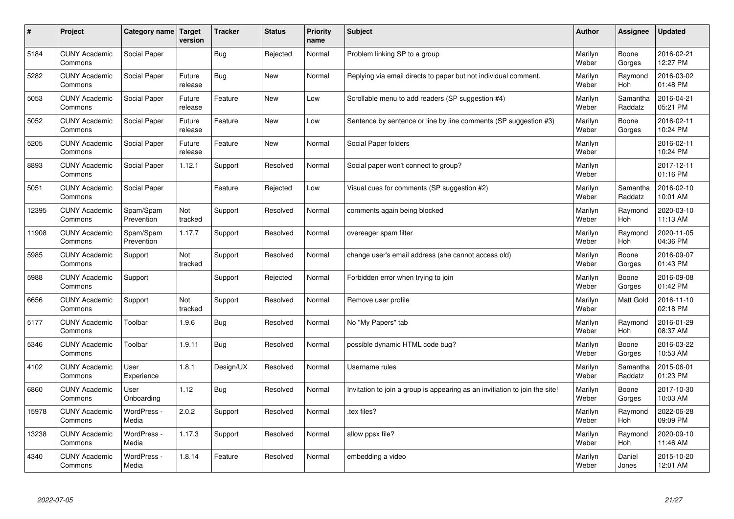| $\pmb{\#}$ | Project                         | Category name           | Target<br>version | <b>Tracker</b> | <b>Status</b> | <b>Priority</b><br>name | <b>Subject</b>                                                              | <b>Author</b>    | Assignee              | <b>Updated</b>         |
|------------|---------------------------------|-------------------------|-------------------|----------------|---------------|-------------------------|-----------------------------------------------------------------------------|------------------|-----------------------|------------------------|
| 5184       | <b>CUNY Academic</b><br>Commons | Social Paper            |                   | Bug            | Rejected      | Normal                  | Problem linking SP to a group                                               | Marilyn<br>Weber | Boone<br>Gorges       | 2016-02-21<br>12:27 PM |
| 5282       | <b>CUNY Academic</b><br>Commons | Social Paper            | Future<br>release | Bug            | New           | Normal                  | Replying via email directs to paper but not individual comment.             | Marilyn<br>Weber | Raymond<br><b>Hoh</b> | 2016-03-02<br>01:48 PM |
| 5053       | <b>CUNY Academic</b><br>Commons | Social Paper            | Future<br>release | Feature        | <b>New</b>    | Low                     | Scrollable menu to add readers (SP suggestion #4)                           | Marilyn<br>Weber | Samantha<br>Raddatz   | 2016-04-21<br>05:21 PM |
| 5052       | <b>CUNY Academic</b><br>Commons | Social Paper            | Future<br>release | Feature        | <b>New</b>    | Low                     | Sentence by sentence or line by line comments (SP suggestion #3)            | Marilyn<br>Weber | Boone<br>Gorges       | 2016-02-11<br>10:24 PM |
| 5205       | <b>CUNY Academic</b><br>Commons | Social Paper            | Future<br>release | Feature        | New           | Normal                  | Social Paper folders                                                        | Marilyn<br>Weber |                       | 2016-02-11<br>10:24 PM |
| 8893       | <b>CUNY Academic</b><br>Commons | Social Paper            | 1.12.1            | Support        | Resolved      | Normal                  | Social paper won't connect to group?                                        | Marilyn<br>Weber |                       | 2017-12-11<br>01:16 PM |
| 5051       | <b>CUNY Academic</b><br>Commons | Social Paper            |                   | Feature        | Rejected      | Low                     | Visual cues for comments (SP suggestion #2)                                 | Marilyn<br>Weber | Samantha<br>Raddatz   | 2016-02-10<br>10:01 AM |
| 12395      | <b>CUNY Academic</b><br>Commons | Spam/Spam<br>Prevention | Not<br>tracked    | Support        | Resolved      | Normal                  | comments again being blocked                                                | Marilyn<br>Weber | Raymond<br>Hoh        | 2020-03-10<br>11:13 AM |
| 11908      | <b>CUNY Academic</b><br>Commons | Spam/Spam<br>Prevention | 1.17.7            | Support        | Resolved      | Normal                  | overeager spam filter                                                       | Marilyn<br>Weber | Raymond<br>Hoh        | 2020-11-05<br>04:36 PM |
| 5985       | <b>CUNY Academic</b><br>Commons | Support                 | Not<br>tracked    | Support        | Resolved      | Normal                  | change user's email address (she cannot access old)                         | Marilyn<br>Weber | Boone<br>Gorges       | 2016-09-07<br>01:43 PM |
| 5988       | <b>CUNY Academic</b><br>Commons | Support                 |                   | Support        | Rejected      | Normal                  | Forbidden error when trying to join                                         | Marilyn<br>Weber | Boone<br>Gorges       | 2016-09-08<br>01:42 PM |
| 6656       | <b>CUNY Academic</b><br>Commons | Support                 | Not<br>tracked    | Support        | Resolved      | Normal                  | Remove user profile                                                         | Marilyn<br>Weber | Matt Gold             | 2016-11-10<br>02:18 PM |
| 5177       | <b>CUNY Academic</b><br>Commons | Toolbar                 | 1.9.6             | <b>Bug</b>     | Resolved      | Normal                  | No "My Papers" tab                                                          | Marilyn<br>Weber | Raymond<br>Hoh        | 2016-01-29<br>08:37 AM |
| 5346       | <b>CUNY Academic</b><br>Commons | Toolbar                 | 1.9.11            | <b>Bug</b>     | Resolved      | Normal                  | possible dynamic HTML code bug?                                             | Marilyn<br>Weber | Boone<br>Gorges       | 2016-03-22<br>10:53 AM |
| 4102       | <b>CUNY Academic</b><br>Commons | User<br>Experience      | 1.8.1             | Design/UX      | Resolved      | Normal                  | Username rules                                                              | Marilyn<br>Weber | Samantha<br>Raddatz   | 2015-06-01<br>01:23 PM |
| 6860       | <b>CUNY Academic</b><br>Commons | User<br>Onboarding      | 1.12              | <b>Bug</b>     | Resolved      | Normal                  | Invitation to join a group is appearing as an invitiation to join the site! | Marilyn<br>Weber | Boone<br>Gorges       | 2017-10-30<br>10:03 AM |
| 15978      | <b>CUNY Academic</b><br>Commons | WordPress -<br>Media    | 2.0.2             | Support        | Resolved      | Normal                  | tex files?                                                                  | Marilyn<br>Weber | Raymond<br><b>Hoh</b> | 2022-06-28<br>09:09 PM |
| 13238      | <b>CUNY Academic</b><br>Commons | WordPress -<br>Media    | 1.17.3            | Support        | Resolved      | Normal                  | allow ppsx file?                                                            | Marilyn<br>Weber | Raymond<br>Hoh        | 2020-09-10<br>11:46 AM |
| 4340       | <b>CUNY Academic</b><br>Commons | WordPress -<br>Media    | 1.8.14            | Feature        | Resolved      | Normal                  | embedding a video                                                           | Marilyn<br>Weber | Daniel<br>Jones       | 2015-10-20<br>12:01 AM |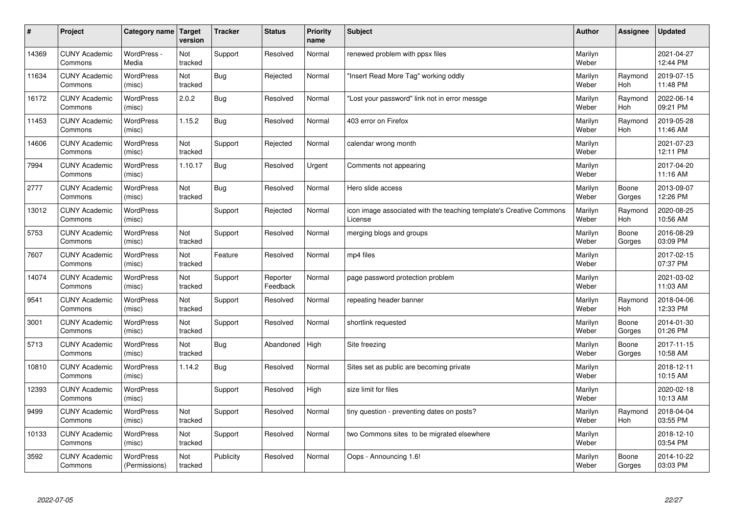| $\sharp$ | Project                         | Category name   Target            | version        | <b>Tracker</b> | <b>Status</b>        | <b>Priority</b><br>name | <b>Subject</b>                                                                 | <b>Author</b>    | Assignee              | <b>Updated</b>         |
|----------|---------------------------------|-----------------------------------|----------------|----------------|----------------------|-------------------------|--------------------------------------------------------------------------------|------------------|-----------------------|------------------------|
| 14369    | <b>CUNY Academic</b><br>Commons | WordPress -<br>Media              | Not<br>tracked | Support        | Resolved             | Normal                  | renewed problem with ppsx files                                                | Marilyn<br>Weber |                       | 2021-04-27<br>12:44 PM |
| 11634    | <b>CUNY Academic</b><br>Commons | WordPress<br>(misc)               | Not<br>tracked | Bug            | Rejected             | Normal                  | 'Insert Read More Tag" working oddly                                           | Marilyn<br>Weber | Raymond<br>Hoh        | 2019-07-15<br>11:48 PM |
| 16172    | <b>CUNY Academic</b><br>Commons | <b>WordPress</b><br>(misc)        | 2.0.2          | Bug            | Resolved             | Normal                  | 'Lost your password" link not in error messge                                  | Marilyn<br>Weber | Raymond<br><b>Hoh</b> | 2022-06-14<br>09:21 PM |
| 11453    | <b>CUNY Academic</b><br>Commons | <b>WordPress</b><br>(misc)        | 1.15.2         | Bug            | Resolved             | Normal                  | 403 error on Firefox                                                           | Marilyn<br>Weber | Raymond<br><b>Hoh</b> | 2019-05-28<br>11:46 AM |
| 14606    | <b>CUNY Academic</b><br>Commons | <b>WordPress</b><br>(misc)        | Not<br>tracked | Support        | Rejected             | Normal                  | calendar wrong month                                                           | Marilyn<br>Weber |                       | 2021-07-23<br>12:11 PM |
| 7994     | <b>CUNY Academic</b><br>Commons | WordPress<br>(misc)               | 1.10.17        | Bug            | Resolved             | Urgent                  | Comments not appearing                                                         | Marilyn<br>Weber |                       | 2017-04-20<br>11:16 AM |
| 2777     | <b>CUNY Academic</b><br>Commons | <b>WordPress</b><br>(misc)        | Not<br>tracked | Bug            | Resolved             | Normal                  | Hero slide access                                                              | Marilyn<br>Weber | Boone<br>Gorges       | 2013-09-07<br>12:26 PM |
| 13012    | <b>CUNY Academic</b><br>Commons | <b>WordPress</b><br>(misc)        |                | Support        | Rejected             | Normal                  | icon image associated with the teaching template's Creative Commons<br>License | Marilyn<br>Weber | Raymond<br>Hoh        | 2020-08-25<br>10:56 AM |
| 5753     | <b>CUNY Academic</b><br>Commons | <b>WordPress</b><br>(misc)        | Not<br>tracked | Support        | Resolved             | Normal                  | merging blogs and groups                                                       | Marilyn<br>Weber | Boone<br>Gorges       | 2016-08-29<br>03:09 PM |
| 7607     | <b>CUNY Academic</b><br>Commons | <b>WordPress</b><br>(misc)        | Not<br>tracked | Feature        | Resolved             | Normal                  | mp4 files                                                                      | Marilyn<br>Weber |                       | 2017-02-15<br>07:37 PM |
| 14074    | <b>CUNY Academic</b><br>Commons | <b>WordPress</b><br>(misc)        | Not<br>tracked | Support        | Reporter<br>Feedback | Normal                  | page password protection problem                                               | Marilyn<br>Weber |                       | 2021-03-02<br>11:03 AM |
| 9541     | <b>CUNY Academic</b><br>Commons | <b>WordPress</b><br>(misc)        | Not<br>tracked | Support        | Resolved             | Normal                  | repeating header banner                                                        | Marilyn<br>Weber | Raymond<br>Hoh        | 2018-04-06<br>12:33 PM |
| 3001     | <b>CUNY Academic</b><br>Commons | <b>WordPress</b><br>(misc)        | Not<br>tracked | Support        | Resolved             | Normal                  | shortlink requested                                                            | Marilyn<br>Weber | Boone<br>Gorges       | 2014-01-30<br>01:26 PM |
| 5713     | <b>CUNY Academic</b><br>Commons | <b>WordPress</b><br>(misc)        | Not<br>tracked | Bug            | Abandoned            | High                    | Site freezing                                                                  | Marilyn<br>Weber | Boone<br>Gorges       | 2017-11-15<br>10:58 AM |
| 10810    | <b>CUNY Academic</b><br>Commons | WordPress<br>(misc)               | 1.14.2         | <b>Bug</b>     | Resolved             | Normal                  | Sites set as public are becoming private                                       | Marilyn<br>Weber |                       | 2018-12-11<br>10:15 AM |
| 12393    | <b>CUNY Academic</b><br>Commons | <b>WordPress</b><br>(misc)        |                | Support        | Resolved             | High                    | size limit for files                                                           | Marilyn<br>Weber |                       | 2020-02-18<br>10:13 AM |
| 9499     | <b>CUNY Academic</b><br>Commons | <b>WordPress</b><br>(misc)        | Not<br>tracked | Support        | Resolved             | Normal                  | tiny question - preventing dates on posts?                                     | Marilyn<br>Weber | Raymond<br>Hoh        | 2018-04-04<br>03:55 PM |
| 10133    | <b>CUNY Academic</b><br>Commons | WordPress<br>(misc)               | Not<br>tracked | Support        | Resolved             | Normal                  | two Commons sites to be migrated elsewhere                                     | Marilyn<br>Weber |                       | 2018-12-10<br>03:54 PM |
| 3592     | <b>CUNY Academic</b><br>Commons | <b>WordPress</b><br>(Permissions) | Not<br>tracked | Publicity      | Resolved             | Normal                  | Oops - Announcing 1.6!                                                         | Marilyn<br>Weber | Boone<br>Gorges       | 2014-10-22<br>03:03 PM |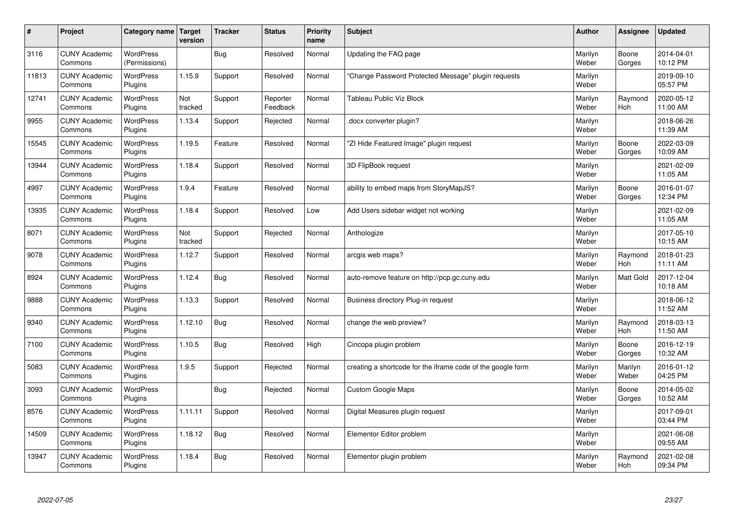| $\sharp$ | Project                         | Category name   Target            | version        | <b>Tracker</b> | <b>Status</b>        | <b>Priority</b><br>name | <b>Subject</b>                                              | <b>Author</b>    | Assignee              | <b>Updated</b>         |
|----------|---------------------------------|-----------------------------------|----------------|----------------|----------------------|-------------------------|-------------------------------------------------------------|------------------|-----------------------|------------------------|
| 3116     | <b>CUNY Academic</b><br>Commons | <b>WordPress</b><br>(Permissions) |                | Bug            | Resolved             | Normal                  | Updating the FAQ page                                       | Marilyn<br>Weber | Boone<br>Gorges       | 2014-04-01<br>10:12 PM |
| 11813    | <b>CUNY Academic</b><br>Commons | <b>WordPress</b><br>Plugins       | 1.15.9         | Support        | Resolved             | Normal                  | 'Change Password Protected Message" plugin requests         | Marilyn<br>Weber |                       | 2019-09-10<br>05:57 PM |
| 12741    | <b>CUNY Academic</b><br>Commons | <b>WordPress</b><br>Plugins       | Not<br>tracked | Support        | Reporter<br>Feedback | Normal                  | <b>Tableau Public Viz Block</b>                             | Marilyn<br>Weber | Raymond<br><b>Hoh</b> | 2020-05-12<br>11:00 AM |
| 9955     | <b>CUNY Academic</b><br>Commons | <b>WordPress</b><br>Plugins       | 1.13.4         | Support        | Rejected             | Normal                  | docx converter plugin?                                      | Marilyn<br>Weber |                       | 2018-06-26<br>11:39 AM |
| 15545    | <b>CUNY Academic</b><br>Commons | <b>WordPress</b><br>Plugins       | 1.19.5         | Feature        | Resolved             | Normal                  | 'ZI Hide Featured Image" plugin request                     | Marilyn<br>Weber | Boone<br>Gorges       | 2022-03-09<br>10:09 AM |
| 13944    | <b>CUNY Academic</b><br>Commons | <b>WordPress</b><br>Plugins       | 1.18.4         | Support        | Resolved             | Normal                  | 3D FlipBook request                                         | Marilyn<br>Weber |                       | 2021-02-09<br>11:05 AM |
| 4997     | <b>CUNY Academic</b><br>Commons | <b>WordPress</b><br>Plugins       | 1.9.4          | Feature        | Resolved             | Normal                  | ability to embed maps from StoryMapJS?                      | Marilyn<br>Weber | Boone<br>Gorges       | 2016-01-07<br>12:34 PM |
| 13935    | <b>CUNY Academic</b><br>Commons | WordPress<br>Plugins              | 1.18.4         | Support        | Resolved             | Low                     | Add Users sidebar widget not working                        | Marilyn<br>Weber |                       | 2021-02-09<br>11:05 AM |
| 8071     | <b>CUNY Academic</b><br>Commons | WordPress<br>Plugins              | Not<br>tracked | Support        | Rejected             | Normal                  | Anthologize                                                 | Marilyn<br>Weber |                       | 2017-05-10<br>10:15 AM |
| 9078     | <b>CUNY Academic</b><br>Commons | WordPress<br>Plugins              | 1.12.7         | Support        | Resolved             | Normal                  | arcgis web maps?                                            | Marilyn<br>Weber | Raymond<br>Hoh        | 2018-01-23<br>11:11 AM |
| 8924     | <b>CUNY Academic</b><br>Commons | <b>WordPress</b><br>Plugins       | 1.12.4         | Bug            | Resolved             | Normal                  | auto-remove feature on http://pcp.gc.cuny.edu               | Marilyn<br>Weber | Matt Gold             | 2017-12-04<br>10:18 AM |
| 9888     | <b>CUNY Academic</b><br>Commons | <b>WordPress</b><br>Plugins       | 1.13.3         | Support        | Resolved             | Normal                  | Business directory Plug-in request                          | Marilyn<br>Weber |                       | 2018-06-12<br>11:52 AM |
| 9340     | <b>CUNY Academic</b><br>Commons | <b>WordPress</b><br>Plugins       | 1.12.10        | Bug            | Resolved             | Normal                  | change the web preview?                                     | Marilyn<br>Weber | Raymond<br>Hoh        | 2018-03-13<br>11:50 AM |
| 7100     | <b>CUNY Academic</b><br>Commons | <b>WordPress</b><br>Plugins       | 1.10.5         | <b>Bug</b>     | Resolved             | High                    | Cincopa plugin problem                                      | Marilyn<br>Weber | Boone<br>Gorges       | 2016-12-19<br>10:32 AM |
| 5083     | <b>CUNY Academic</b><br>Commons | <b>WordPress</b><br>Plugins       | 1.9.5          | Support        | Rejected             | Normal                  | creating a shortcode for the iframe code of the google form | Marilyn<br>Weber | Marilyn<br>Weber      | 2016-01-12<br>04:25 PM |
| 3093     | <b>CUNY Academic</b><br>Commons | WordPress<br>Plugins              |                | Bug            | Rejected             | Normal                  | <b>Custom Google Maps</b>                                   | Marilyn<br>Weber | Boone<br>Gorges       | 2014-05-02<br>10:52 AM |
| 8576     | <b>CUNY Academic</b><br>Commons | <b>WordPress</b><br>Plugins       | 1.11.11        | Support        | Resolved             | Normal                  | Digital Measures plugin request                             | Marilyn<br>Weber |                       | 2017-09-01<br>03:44 PM |
| 14509    | <b>CUNY Academic</b><br>Commons | <b>WordPress</b><br>Plugins       | 1.18.12        | Bug            | Resolved             | Normal                  | Elementor Editor problem                                    | Marilyn<br>Weber |                       | 2021-06-08<br>09:55 AM |
| 13947    | <b>CUNY Academic</b><br>Commons | <b>WordPress</b><br>Plugins       | 1.18.4         | <b>Bug</b>     | Resolved             | Normal                  | Elementor plugin problem                                    | Marilyn<br>Weber | Raymond<br>Hoh        | 2021-02-08<br>09:34 PM |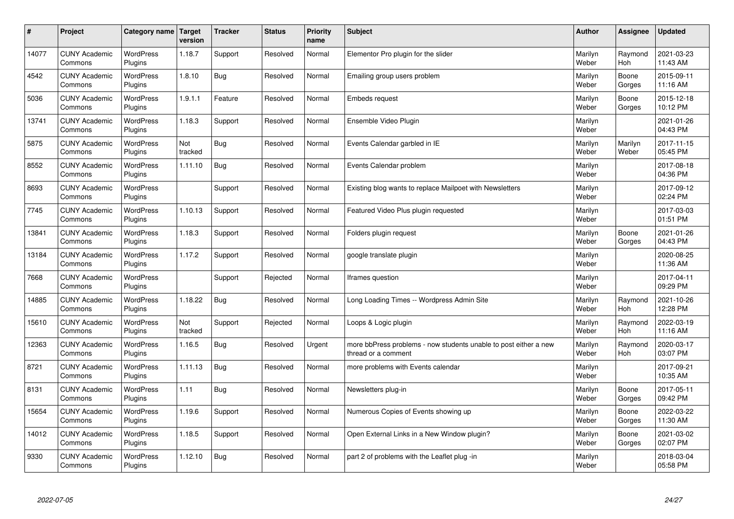| $\sharp$ | Project                         | Category name               | Target<br>version | <b>Tracker</b> | <b>Status</b> | <b>Priority</b><br>name | <b>Subject</b>                                                                          | <b>Author</b>    | Assignee              | <b>Updated</b>         |
|----------|---------------------------------|-----------------------------|-------------------|----------------|---------------|-------------------------|-----------------------------------------------------------------------------------------|------------------|-----------------------|------------------------|
| 14077    | <b>CUNY Academic</b><br>Commons | <b>WordPress</b><br>Plugins | 1.18.7            | Support        | Resolved      | Normal                  | Elementor Pro plugin for the slider                                                     | Marilyn<br>Weber | Raymond<br><b>Hoh</b> | 2021-03-23<br>11:43 AM |
| 4542     | <b>CUNY Academic</b><br>Commons | <b>WordPress</b><br>Plugins | 1.8.10            | Bug            | Resolved      | Normal                  | Emailing group users problem                                                            | Marilyn<br>Weber | Boone<br>Gorges       | 2015-09-11<br>11:16 AM |
| 5036     | <b>CUNY Academic</b><br>Commons | <b>WordPress</b><br>Plugins | 1.9.1.1           | Feature        | Resolved      | Normal                  | Embeds request                                                                          | Marilyn<br>Weber | Boone<br>Gorges       | 2015-12-18<br>10:12 PM |
| 13741    | <b>CUNY Academic</b><br>Commons | <b>WordPress</b><br>Plugins | 1.18.3            | Support        | Resolved      | Normal                  | Ensemble Video Plugin                                                                   | Marilyn<br>Weber |                       | 2021-01-26<br>04:43 PM |
| 5875     | <b>CUNY Academic</b><br>Commons | <b>WordPress</b><br>Plugins | Not<br>tracked    | Bug            | Resolved      | Normal                  | Events Calendar garbled in IE                                                           | Marilyn<br>Weber | Marilyn<br>Weber      | 2017-11-15<br>05:45 PM |
| 8552     | <b>CUNY Academic</b><br>Commons | WordPress<br>Plugins        | 1.11.10           | Bug            | Resolved      | Normal                  | Events Calendar problem                                                                 | Marilyn<br>Weber |                       | 2017-08-18<br>04:36 PM |
| 8693     | <b>CUNY Academic</b><br>Commons | <b>WordPress</b><br>Plugins |                   | Support        | Resolved      | Normal                  | Existing blog wants to replace Mailpoet with Newsletters                                | Marilyn<br>Weber |                       | 2017-09-12<br>02:24 PM |
| 7745     | <b>CUNY Academic</b><br>Commons | <b>WordPress</b><br>Plugins | 1.10.13           | Support        | Resolved      | Normal                  | Featured Video Plus plugin requested                                                    | Marilyn<br>Weber |                       | 2017-03-03<br>01:51 PM |
| 13841    | <b>CUNY Academic</b><br>Commons | <b>WordPress</b><br>Plugins | 1.18.3            | Support        | Resolved      | Normal                  | Folders plugin request                                                                  | Marilyn<br>Weber | Boone<br>Gorges       | 2021-01-26<br>04:43 PM |
| 13184    | <b>CUNY Academic</b><br>Commons | WordPress<br>Plugins        | 1.17.2            | Support        | Resolved      | Normal                  | google translate plugin                                                                 | Marilyn<br>Weber |                       | 2020-08-25<br>11:36 AM |
| 7668     | <b>CUNY Academic</b><br>Commons | WordPress<br>Plugins        |                   | Support        | Rejected      | Normal                  | Iframes question                                                                        | Marilyn<br>Weber |                       | 2017-04-11<br>09:29 PM |
| 14885    | <b>CUNY Academic</b><br>Commons | <b>WordPress</b><br>Plugins | 1.18.22           | Bug            | Resolved      | Normal                  | Long Loading Times -- Wordpress Admin Site                                              | Marilyn<br>Weber | Raymond<br>Hoh        | 2021-10-26<br>12:28 PM |
| 15610    | <b>CUNY Academic</b><br>Commons | <b>WordPress</b><br>Plugins | Not<br>tracked    | Support        | Rejected      | Normal                  | Loops & Logic plugin                                                                    | Marilyn<br>Weber | Raymond<br>Hoh        | 2022-03-19<br>11:16 AM |
| 12363    | <b>CUNY Academic</b><br>Commons | <b>WordPress</b><br>Plugins | 1.16.5            | Bug            | Resolved      | Urgent                  | more bbPress problems - now students unable to post either a new<br>thread or a comment | Marilyn<br>Weber | Raymond<br>Hoh        | 2020-03-17<br>03:07 PM |
| 8721     | <b>CUNY Academic</b><br>Commons | <b>WordPress</b><br>Plugins | 1.11.13           | Bug            | Resolved      | Normal                  | more problems with Events calendar                                                      | Marilyn<br>Weber |                       | 2017-09-21<br>10:35 AM |
| 8131     | <b>CUNY Academic</b><br>Commons | <b>WordPress</b><br>Plugins | 1.11              | Bug            | Resolved      | Normal                  | Newsletters plug-in                                                                     | Marilyn<br>Weber | Boone<br>Gorges       | 2017-05-11<br>09:42 PM |
| 15654    | <b>CUNY Academic</b><br>Commons | WordPress<br>Plugins        | 1.19.6            | Support        | Resolved      | Normal                  | Numerous Copies of Events showing up                                                    | Marilyn<br>Weber | Boone<br>Gorges       | 2022-03-22<br>11:30 AM |
| 14012    | <b>CUNY Academic</b><br>Commons | <b>WordPress</b><br>Plugins | 1.18.5            | Support        | Resolved      | Normal                  | Open External Links in a New Window plugin?                                             | Marilyn<br>Weber | Boone<br>Gorges       | 2021-03-02<br>02:07 PM |
| 9330     | <b>CUNY Academic</b><br>Commons | WordPress<br>Plugins        | 1.12.10           | Bug            | Resolved      | Normal                  | part 2 of problems with the Leaflet plug -in                                            | Marilyn<br>Weber |                       | 2018-03-04<br>05:58 PM |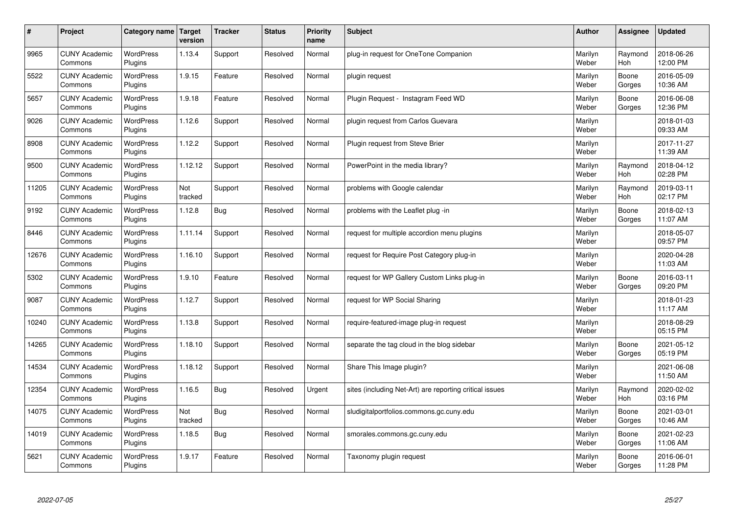| #     | Project                         | Category name               | Target<br>version | <b>Tracker</b> | <b>Status</b> | <b>Priority</b><br>name | <b>Subject</b>                                          | <b>Author</b>    | Assignee              | <b>Updated</b>         |
|-------|---------------------------------|-----------------------------|-------------------|----------------|---------------|-------------------------|---------------------------------------------------------|------------------|-----------------------|------------------------|
| 9965  | <b>CUNY Academic</b><br>Commons | <b>WordPress</b><br>Plugins | 1.13.4            | Support        | Resolved      | Normal                  | plug-in request for OneTone Companion                   | Marilyn<br>Weber | Raymond<br><b>Hoh</b> | 2018-06-26<br>12:00 PM |
| 5522  | <b>CUNY Academic</b><br>Commons | <b>WordPress</b><br>Plugins | 1.9.15            | Feature        | Resolved      | Normal                  | plugin request                                          | Marilyn<br>Weber | Boone<br>Gorges       | 2016-05-09<br>10:36 AM |
| 5657  | <b>CUNY Academic</b><br>Commons | <b>WordPress</b><br>Plugins | 1.9.18            | Feature        | Resolved      | Normal                  | Plugin Request - Instagram Feed WD                      | Marilyn<br>Weber | Boone<br>Gorges       | 2016-06-08<br>12:36 PM |
| 9026  | <b>CUNY Academic</b><br>Commons | <b>WordPress</b><br>Plugins | 1.12.6            | Support        | Resolved      | Normal                  | plugin request from Carlos Guevara                      | Marilyn<br>Weber |                       | 2018-01-03<br>09:33 AM |
| 8908  | <b>CUNY Academic</b><br>Commons | <b>WordPress</b><br>Plugins | 1.12.2            | Support        | Resolved      | Normal                  | Plugin request from Steve Brier                         | Marilyn<br>Weber |                       | 2017-11-27<br>11:39 AM |
| 9500  | <b>CUNY Academic</b><br>Commons | WordPress<br>Plugins        | 1.12.12           | Support        | Resolved      | Normal                  | PowerPoint in the media library?                        | Marilyn<br>Weber | Raymond<br>Hoh        | 2018-04-12<br>02:28 PM |
| 11205 | <b>CUNY Academic</b><br>Commons | <b>WordPress</b><br>Plugins | Not<br>tracked    | Support        | Resolved      | Normal                  | problems with Google calendar                           | Marilyn<br>Weber | Raymond<br>Hoh        | 2019-03-11<br>02:17 PM |
| 9192  | <b>CUNY Academic</b><br>Commons | <b>WordPress</b><br>Plugins | 1.12.8            | Bug            | Resolved      | Normal                  | problems with the Leaflet plug -in                      | Marilyn<br>Weber | Boone<br>Gorges       | 2018-02-13<br>11:07 AM |
| 8446  | <b>CUNY Academic</b><br>Commons | <b>WordPress</b><br>Plugins | 1.11.14           | Support        | Resolved      | Normal                  | request for multiple accordion menu plugins             | Marilyn<br>Weber |                       | 2018-05-07<br>09:57 PM |
| 12676 | <b>CUNY Academic</b><br>Commons | WordPress<br>Plugins        | 1.16.10           | Support        | Resolved      | Normal                  | request for Require Post Category plug-in               | Marilyn<br>Weber |                       | 2020-04-28<br>11:03 AM |
| 5302  | <b>CUNY Academic</b><br>Commons | WordPress<br>Plugins        | 1.9.10            | Feature        | Resolved      | Normal                  | request for WP Gallery Custom Links plug-in             | Marilyn<br>Weber | Boone<br>Gorges       | 2016-03-11<br>09:20 PM |
| 9087  | <b>CUNY Academic</b><br>Commons | <b>WordPress</b><br>Plugins | 1.12.7            | Support        | Resolved      | Normal                  | request for WP Social Sharing                           | Marilyn<br>Weber |                       | 2018-01-23<br>11:17 AM |
| 10240 | <b>CUNY Academic</b><br>Commons | <b>WordPress</b><br>Plugins | 1.13.8            | Support        | Resolved      | Normal                  | require-featured-image plug-in request                  | Marilyn<br>Weber |                       | 2018-08-29<br>05:15 PM |
| 14265 | <b>CUNY Academic</b><br>Commons | WordPress<br>Plugins        | 1.18.10           | Support        | Resolved      | Normal                  | separate the tag cloud in the blog sidebar              | Marilyn<br>Weber | Boone<br>Gorges       | 2021-05-12<br>05:19 PM |
| 14534 | <b>CUNY Academic</b><br>Commons | <b>WordPress</b><br>Plugins | 1.18.12           | Support        | Resolved      | Normal                  | Share This Image plugin?                                | Marilyn<br>Weber |                       | 2021-06-08<br>11:50 AM |
| 12354 | <b>CUNY Academic</b><br>Commons | <b>WordPress</b><br>Plugins | 1.16.5            | Bug            | Resolved      | Urgent                  | sites (including Net-Art) are reporting critical issues | Marilyn<br>Weber | Raymond<br><b>Hoh</b> | 2020-02-02<br>03:16 PM |
| 14075 | <b>CUNY Academic</b><br>Commons | WordPress<br>Plugins        | Not<br>tracked    | Bug            | Resolved      | Normal                  | sludigitalportfolios.commons.gc.cuny.edu                | Marilyn<br>Weber | Boone<br>Gorges       | 2021-03-01<br>10:46 AM |
| 14019 | <b>CUNY Academic</b><br>Commons | WordPress<br>Plugins        | 1.18.5            | <b>Bug</b>     | Resolved      | Normal                  | smorales.commons.gc.cuny.edu                            | Marilyn<br>Weber | Boone<br>Gorges       | 2021-02-23<br>11:06 AM |
| 5621  | <b>CUNY Academic</b><br>Commons | WordPress<br>Plugins        | 1.9.17            | Feature        | Resolved      | Normal                  | Taxonomy plugin request                                 | Marilyn<br>Weber | Boone<br>Gorges       | 2016-06-01<br>11:28 PM |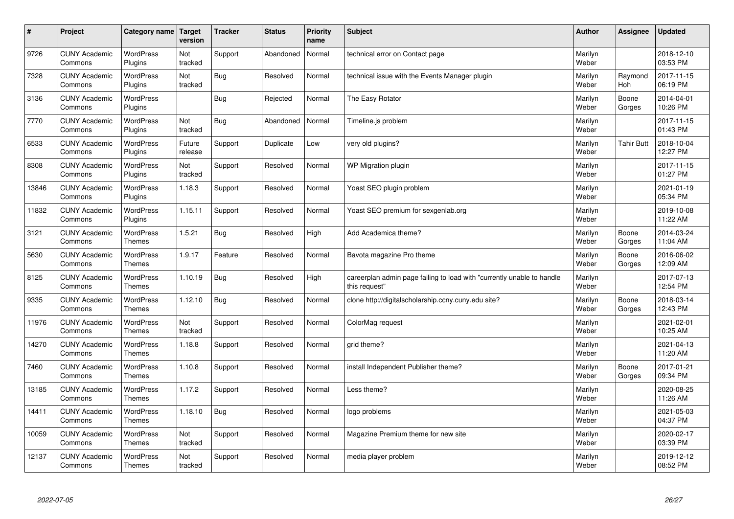| $\sharp$ | Project                         | Category name   Target            | version           | <b>Tracker</b> | <b>Status</b> | <b>Priority</b><br>name | <b>Subject</b>                                                                          | <b>Author</b>    | Assignee              | <b>Updated</b>         |
|----------|---------------------------------|-----------------------------------|-------------------|----------------|---------------|-------------------------|-----------------------------------------------------------------------------------------|------------------|-----------------------|------------------------|
| 9726     | <b>CUNY Academic</b><br>Commons | <b>WordPress</b><br>Plugins       | Not<br>tracked    | Support        | Abandoned     | Normal                  | technical error on Contact page                                                         | Marilyn<br>Weber |                       | 2018-12-10<br>03:53 PM |
| 7328     | <b>CUNY Academic</b><br>Commons | <b>WordPress</b><br>Plugins       | Not<br>tracked    | Bug            | Resolved      | Normal                  | technical issue with the Events Manager plugin                                          | Marilyn<br>Weber | Raymond<br><b>Hoh</b> | 2017-11-15<br>06:19 PM |
| 3136     | <b>CUNY Academic</b><br>Commons | <b>WordPress</b><br>Plugins       |                   | Bug            | Rejected      | Normal                  | The Easy Rotator                                                                        | Marilyn<br>Weber | Boone<br>Gorges       | 2014-04-01<br>10:26 PM |
| 7770     | <b>CUNY Academic</b><br>Commons | <b>WordPress</b><br>Plugins       | Not<br>tracked    | <b>Bug</b>     | Abandoned     | Normal                  | Timeline.js problem                                                                     | Marilyn<br>Weber |                       | 2017-11-15<br>01:43 PM |
| 6533     | <b>CUNY Academic</b><br>Commons | <b>WordPress</b><br>Plugins       | Future<br>release | Support        | Duplicate     | Low                     | very old plugins?                                                                       | Marilyn<br>Weber | <b>Tahir Butt</b>     | 2018-10-04<br>12:27 PM |
| 8308     | <b>CUNY Academic</b><br>Commons | <b>WordPress</b><br>Plugins       | Not<br>tracked    | Support        | Resolved      | Normal                  | WP Migration plugin                                                                     | Marilyn<br>Weber |                       | 2017-11-15<br>01:27 PM |
| 13846    | <b>CUNY Academic</b><br>Commons | <b>WordPress</b><br>Plugins       | 1.18.3            | Support        | Resolved      | Normal                  | Yoast SEO plugin problem                                                                | Marilyn<br>Weber |                       | 2021-01-19<br>05:34 PM |
| 11832    | <b>CUNY Academic</b><br>Commons | WordPress<br>Plugins              | 1.15.11           | Support        | Resolved      | Normal                  | Yoast SEO premium for sexgenlab.org                                                     | Marilyn<br>Weber |                       | 2019-10-08<br>11:22 AM |
| 3121     | <b>CUNY Academic</b><br>Commons | WordPress<br><b>Themes</b>        | 1.5.21            | <b>Bug</b>     | Resolved      | High                    | Add Academica theme?                                                                    | Marilyn<br>Weber | Boone<br>Gorges       | 2014-03-24<br>11:04 AM |
| 5630     | <b>CUNY Academic</b><br>Commons | <b>WordPress</b><br><b>Themes</b> | 1.9.17            | Feature        | Resolved      | Normal                  | Bavota magazine Pro theme                                                               | Marilyn<br>Weber | Boone<br>Gorges       | 2016-06-02<br>12:09 AM |
| 8125     | <b>CUNY Academic</b><br>Commons | <b>WordPress</b><br><b>Themes</b> | 1.10.19           | Bug            | Resolved      | High                    | careerplan admin page failing to load with "currently unable to handle<br>this request" | Marilyn<br>Weber |                       | 2017-07-13<br>12:54 PM |
| 9335     | <b>CUNY Academic</b><br>Commons | <b>WordPress</b><br><b>Themes</b> | 1.12.10           | Bug            | Resolved      | Normal                  | clone http://digitalscholarship.ccny.cuny.edu site?                                     | Marilyn<br>Weber | Boone<br>Gorges       | 2018-03-14<br>12:43 PM |
| 11976    | <b>CUNY Academic</b><br>Commons | WordPress<br><b>Themes</b>        | Not<br>tracked    | Support        | Resolved      | Normal                  | ColorMag request                                                                        | Marilyn<br>Weber |                       | 2021-02-01<br>10:25 AM |
| 14270    | <b>CUNY Academic</b><br>Commons | WordPress<br><b>Themes</b>        | 1.18.8            | Support        | Resolved      | Normal                  | grid theme?                                                                             | Marilyn<br>Weber |                       | 2021-04-13<br>11:20 AM |
| 7460     | <b>CUNY Academic</b><br>Commons | WordPress<br><b>Themes</b>        | 1.10.8            | Support        | Resolved      | Normal                  | install Independent Publisher theme?                                                    | Marilyn<br>Weber | Boone<br>Gorges       | 2017-01-21<br>09:34 PM |
| 13185    | <b>CUNY Academic</b><br>Commons | <b>WordPress</b><br><b>Themes</b> | 1.17.2            | Support        | Resolved      | Normal                  | Less theme?                                                                             | Marilyn<br>Weber |                       | 2020-08-25<br>11:26 AM |
| 14411    | <b>CUNY Academic</b><br>Commons | WordPress<br>Themes               | 1.18.10           | Bug            | Resolved      | Normal                  | logo problems                                                                           | Marilyn<br>Weber |                       | 2021-05-03<br>04:37 PM |
| 10059    | <b>CUNY Academic</b><br>Commons | <b>WordPress</b><br><b>Themes</b> | Not<br>tracked    | Support        | Resolved      | Normal                  | Magazine Premium theme for new site                                                     | Marilyn<br>Weber |                       | 2020-02-17<br>03:39 PM |
| 12137    | <b>CUNY Academic</b><br>Commons | <b>WordPress</b><br><b>Themes</b> | Not<br>tracked    | Support        | Resolved      | Normal                  | media player problem                                                                    | Marilyn<br>Weber |                       | 2019-12-12<br>08:52 PM |